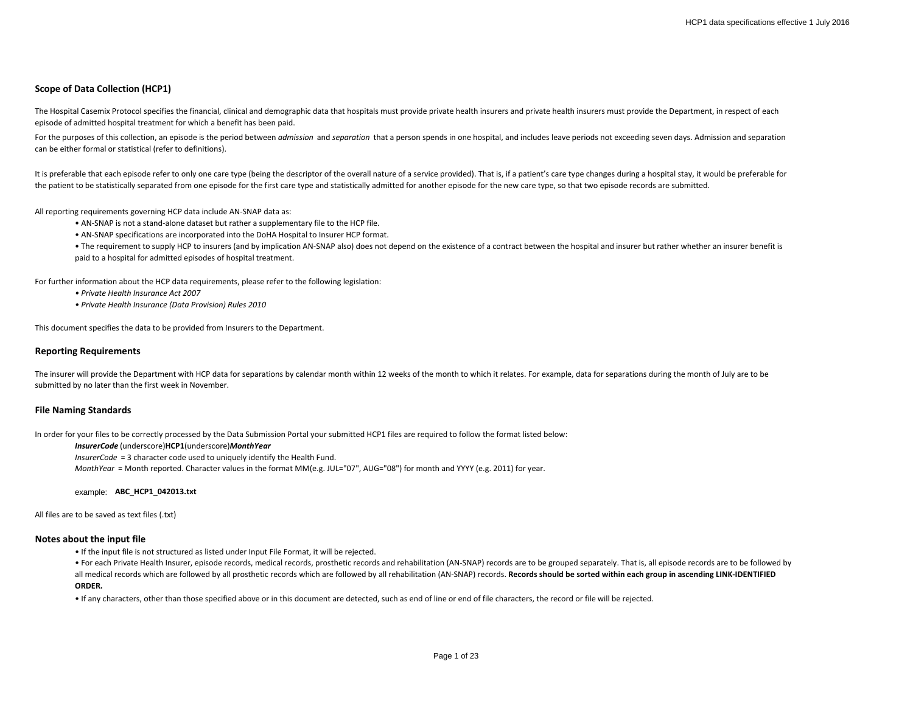# **Scope of Data Collection (HCP1)**

The Hospital Casemix Protocol specifies the financial, clinical and demographic data that hospitals must provide private health insurers and private health insurers must provide the Department, in respect of each episode of admitted hospital treatment for which a benefit has been paid.

For the purposes of this collection, an episode is the period between *admission* and *separation* that a person spends in one hospital, and includes leave periods not exceeding seven days. Admission and separation can be either formal or statistical (refer to definitions).

It is preferable that each episode refer to only one care type (being the descriptor of the overall nature of a service provided). That is, if a patient's care type changes during a hospital stay, it would be preferable fo the patient to be statistically separated from one episode for the first care type and statistically admitted for another episode for the new care type, so that two episode records are submitted.

All reporting requirements governing HCP data include AN-SNAP data as:

• AN-SNAP is not a stand-alone dataset but rather a supplementary file to the HCP file.

• AN-SNAP specifications are incorporated into the DoHA Hospital to Insurer HCP format.

• The requirement to supply HCP to insurers (and by implication AN-SNAP also) does not depend on the existence of a contract between the hospital and insurer but rather whether an insurer benefit is paid to a hospital for admitted episodes of hospital treatment.

For further information about the HCP data requirements, please refer to the following legislation:

*• Private Health Insurance Act 2007*

*• Private Health Insurance (Data Provision) Rules 2010*

This document specifies the data to be provided from Insurers to the Department.

# **Reporting Requirements**

The insurer will provide the Department with HCP data for separations by calendar month within 12 weeks of the month to which it relates. For example, data for separations during the month of July are to be submitted by no later than the first week in November.

## **File Naming Standards**

In order for your files to be correctly processed by the Data Submission Portal your submitted HCP1 files are required to follow the format listed below:

### *InsurerCode* (underscore)**HCP1**(underscore)*MonthYear*

*InsurerCode* = 3 character code used to uniquely identify the Health Fund.

*MonthYear* = Month reported. Character values in the format MM(e.g. JUL="07", AUG="08") for month and YYYY (e.g. 2011) for year.

example: **ABC\_HCP1\_042013.txt**

All files are to be saved as text files (.txt)

### **Notes about the input file**

• If the input file is not structured as listed under Input File Format, it will be rejected.

• For each Private Health Insurer, episode records, medical records, prosthetic records and rehabilitation (AN-SNAP) records are to be grouped separately. That is, all episode records are to be followed by all medical records which are followed by all prosthetic records which are followed by all rehabilitation (AN-SNAP) records. **Records should be sorted within each group in ascending LINK-IDENTIFIED** 

#### **ORDER.**

• If any characters, other than those specified above or in this document are detected, such as end of line or end of file characters, the record or file will be rejected.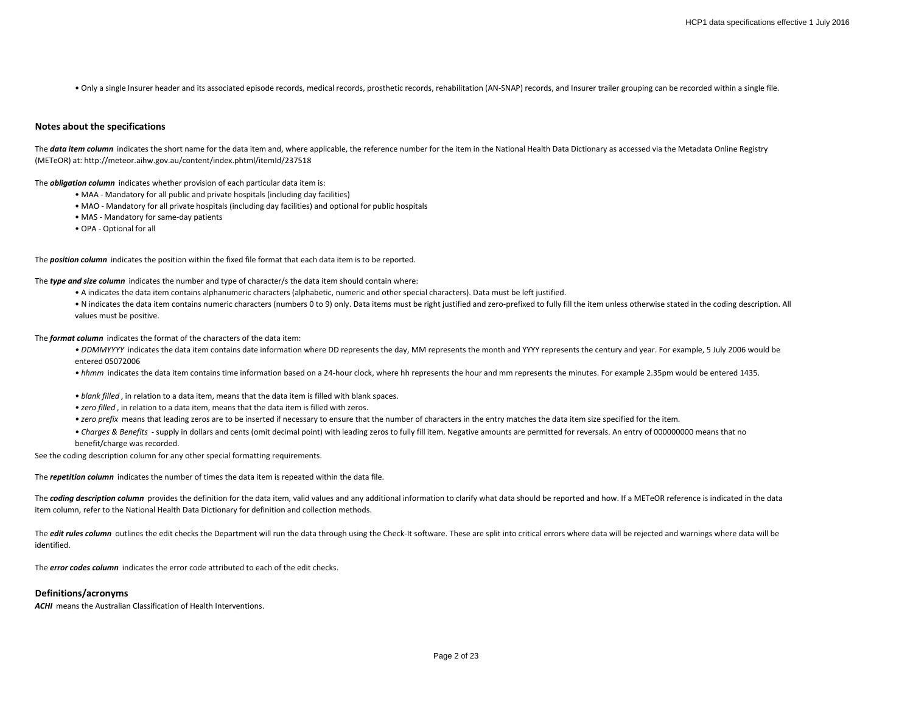• Only a single Insurer header and its associated episode records, medical records, prosthetic records, rehabilitation (AN-SNAP) records, and Insurer trailer grouping can be recorded within a single file.

### **Notes about the specifications**

The data item column indicates the short name for the data item and, where applicable, the reference number for the item in the National Health Data Dictionary as accessed via the Metadata Online Registry (METeOR) at: http://meteor.aihw.gov.au/content/index.phtml/itemId/237518

The *obligation column* indicates whether provision of each particular data item is:

- MAA Mandatory for all public and private hospitals (including day facilities)
- MAO Mandatory for all private hospitals (including day facilities) and optional for public hospitals
- MAS Mandatory for same-day patients
- OPA Optional for all

The *position column* indicates the position within the fixed file format that each data item is to be reported.

The *type and size column* indicates the number and type of character/s the data item should contain where:

- A indicates the data item contains alphanumeric characters (alphabetic, numeric and other special characters). Data must be left justified.
- N indicates the data item contains numeric characters (numbers 0 to 9) only. Data items must be right justified and zero-prefixed to fully fill the item unless otherwise stated in the coding description. All values must be positive.

The *format column* indicates the format of the characters of the data item:

- DDMMYYYY indicates the data item contains date information where DD represents the day, MM represents the month and YYYY represents the century and year. For example, 5 July 2006 would be entered 05072006
- *hhmm* indicates the data item contains time information based on a 24-hour clock, where hh represents the hour and mm represents the minutes. For example 2.35pm would be entered 1435.
- *blank filled* , in relation to a data item, means that the data item is filled with blank spaces.
- *zero filled* , in relation to a data item, means that the data item is filled with zeros.
- *zero prefix* means that leading zeros are to be inserted if necessary to ensure that the number of characters in the entry matches the data item size specified for the item.
- *Charges & Benefits*  supply in dollars and cents (omit decimal point) with leading zeros to fully fill item. Negative amounts are permitted for reversals. An entry of 000000000 means that no benefit/charge was recorded.

See the coding description column for any other special formatting requirements.

The *repetition column* indicates the number of times the data item is repeated within the data file.

The **coding description column** provides the definition for the data item, valid values and any additional information to clarify what data should be reported and how. If a METeOR reference is indicated in the data item column, refer to the National Health Data Dictionary for definition and collection methods.

The *edit rules column* outlines the edit checks the Department will run the data through using the Check-It software. These are split into critical errors where data will be rejected and warnings where data will be identified.

The *error codes column* indicates the error code attributed to each of the edit checks.

## **Definitions/acronyms**

**ACHI** means the Australian Classification of Health Interventions.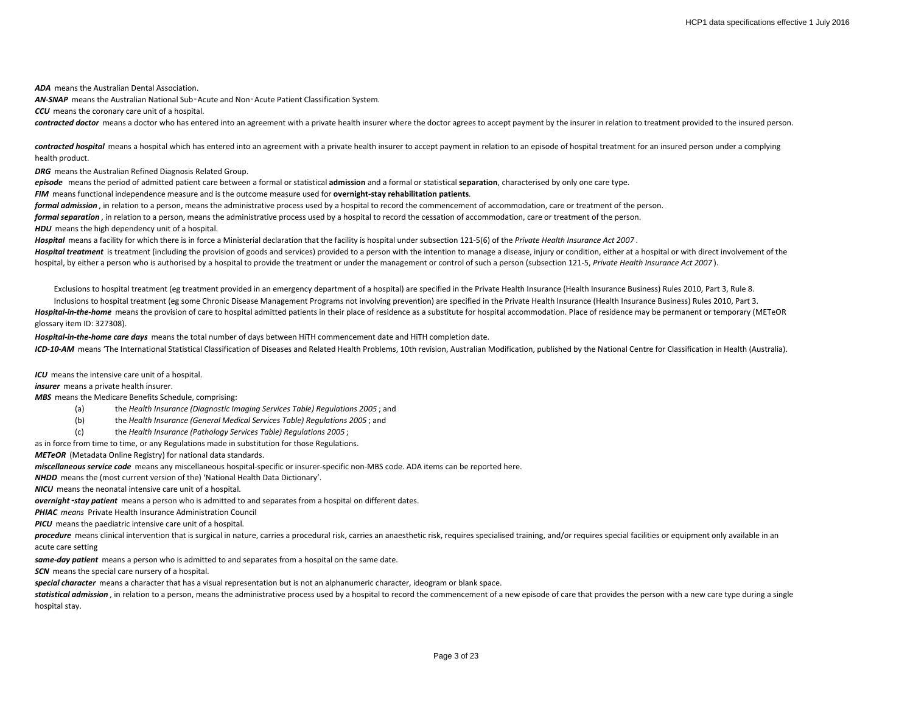*ADA* means the Australian Dental Association.

*AN-SNAP* means the Australian National Sub‑Acute and Non‑Acute Patient Classification System.

*CCU* means the coronary care unit of a hospital.

*contracted doctor* means a doctor who has entered into an agreement with a private health insurer where the doctor agrees to accept payment by the insurer in relation to treatment provided to the insured person.

contracted hospital means a hospital which has entered into an agreement with a private health insurer to accept payment in relation to an episode of hospital treatment for an insured person under a complying health product.

*DRG* means the Australian Refined Diagnosis Related Group.

*episode* means the period of admitted patient care between a formal or statistical **admission** and a formal or statistical **separation**, characterised by only one care type.

*FIM* means functional independence measure and is the outcome measure used for **overnight-stay rehabilitation patients**.

*formal admission* , in relation to a person, means the administrative process used by a hospital to record the commencement of accommodation, care or treatment of the person.

*formal separation* , in relation to a person, means the administrative process used by a hospital to record the cessation of accommodation, care or treatment of the person.

**HDU** means the high dependency unit of a hospital.

*Hospital* means a facility for which there is in force a Ministerial declaration that the facility is hospital under subsection 121-5(6) of the *Private Health Insurance Act 2007* .

Hospital treatment is treatment (including the provision of goods and services) provided to a person with the intention to manage a disease, injury or condition, either at a hospital or with direct involvement of the hospital, by either a person who is authorised by a hospital to provide the treatment or under the management or control of such a person (subsection 121-5, *Private Health Insurance Act 2007* ).

Exclusions to hospital treatment (eg treatment provided in an emergency department of a hospital) are specified in the Private Health Insurance (Health Insurance Business) Rules 2010, Part 3, Rule 8.

Inclusions to hospital treatment (eg some Chronic Disease Management Programs not involving prevention) are specified in the Private Health Insurance (Health Insurance Business) Rules 2010, Part 3. *Hospital-in-the-home* means the provision of care to hospital admitted patients in their place of residence as a substitute for hospital accommodation. Place of residence may be permanent or temporary (METeOR glossary item ID: 327308).

*Hospital-in-the-home care days* means the total number of days between HiTH commencement date and HiTH completion date.

*ICD-10-AM* means 'The International Statistical Classification of Diseases and Related Health Problems, 10th revision, Australian Modification, published by the National Centre for Classification in Health (Australia).

*ICU* means the intensive care unit of a hospital.

*insurer* means a private health insurer.

*MBS* means the Medicare Benefits Schedule, comprising:

- (a) the *Health Insurance (Diagnostic Imaging Services Table) Regulations 2005* ; and
- (b) the *Health Insurance (General Medical Services Table) Regulations 2005* ; and
- (c) the *Health Insurance (Pathology Services Table) Regulations 2005* ;

as in force from time to time, or any Regulations made in substitution for those Regulations.

*METeOR* (Metadata Online Registry) for national data standards.

*miscellaneous service code* means any miscellaneous hospital-specific or insurer-specific non-MBS code. ADA items can be reported here.

*NHDD* means the (most current version of the) 'National Health Data Dictionary'.

*NICU* means the neonatal intensive care unit of a hospital.

*overnight*‑*stay patient* means a person who is admitted to and separates from a hospital on different dates.

*PHIAC means* Private Health Insurance Administration Council

*PICU* means the paediatric intensive care unit of a hospital.

procedure means clinical intervention that is surgical in nature, carries a procedural risk, carries an anaesthetic risk, requires specialised training, and/or requires special facilities or equipment only available in an acute care setting

*same-day patient* means a person who is admitted to and separates from a hospital on the same date.

**SCN** means the special care nursery of a hospital.

*special character* means a character that has a visual representation but is not an alphanumeric character, ideogram or blank space.

statistical admission, in relation to a person, means the administrative process used by a hospital to record the commencement of a new episode of care that provides the person with a new care type during a single hospital stay.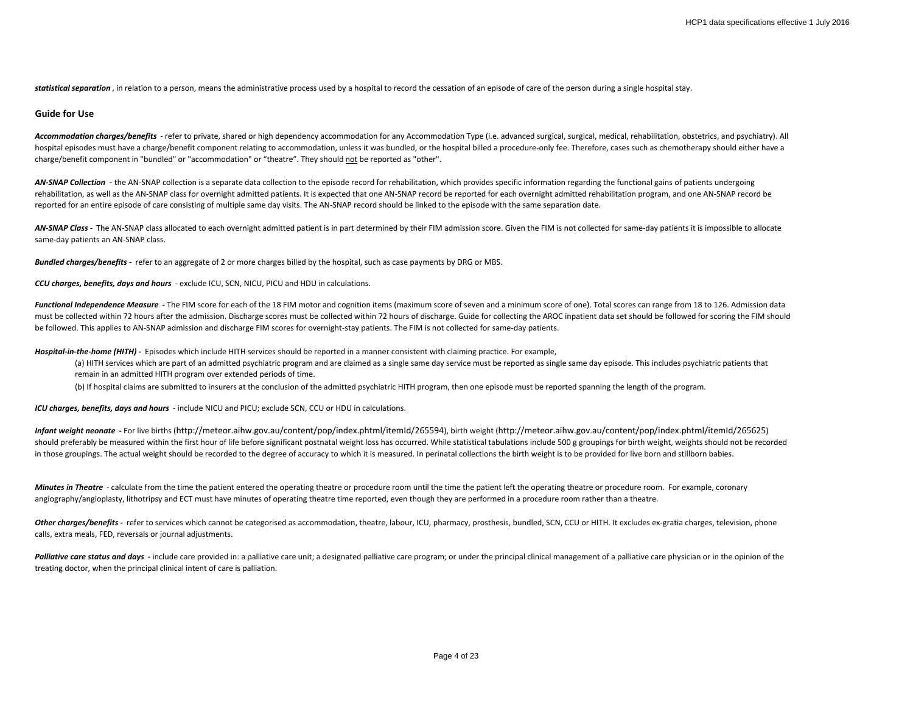statistical separation, in relation to a person, means the administrative process used by a hospital to record the cessation of an episode of care of the person during a single hospital stay.

### **Guide for Use**

*Accommodation charges/benefits* - refer to private, shared or high dependency accommodation for any Accommodation Type (i.e. advanced surgical, surgical, medical, rehabilitation, obstetrics, and psychiatry). All hospital episodes must have a charge/benefit component relating to accommodation, unless it was bundled, or the hospital billed a procedure-only fee. Therefore, cases such as chemotherapy should either have a charge/benefit component in "bundled" or "accommodation" or "theatre". They should not be reported as "other".

AN-SNAP Collection - the AN-SNAP collection is a separate data collection to the episode record for rehabilitation, which provides specific information regarding the functional gains of patients undergoing rehabilitation, as well as the AN-SNAP class for overnight admitted patients. It is expected that one AN-SNAP record be reported for each overnight admitted rehabilitation program, and one AN-SNAP record be reported for an entire episode of care consisting of multiple same day visits. The AN-SNAP record should be linked to the episode with the same separation date.

AN-SNAP Class - The AN-SNAP class allocated to each overnight admitted patient is in part determined by their FIM admission score. Given the FIM is not collected for same-day patients it is impossible to allocate same-day patients an AN-SNAP class.

*Bundled charges/benefits -* refer to an aggregate of 2 or more charges billed by the hospital, such as case payments by DRG or MBS.

*CCU charges, benefits, days and hours* - exclude ICU, SCN, NICU, PICU and HDU in calculations.

Functional Independence Measure - The FIM score for each of the 18 FIM motor and cognition items (maximum score of seven and a minimum score of one). Total scores can range from 18 to 126. Admission data must be collected within 72 hours after the admission. Discharge scores must be collected within 72 hours of discharge. Guide for collecting the AROC inpatient data set should be followed for scoring the FIM should be followed. This applies to AN-SNAP admission and discharge FIM scores for overnight-stay patients. The FIM is not collected for same-day patients.

*Hospital-in-the-home (HITH) -* Episodes which include HITH services should be reported in a manner consistent with claiming practice. For example,

- (a) HITH services which are part of an admitted psychiatric program and are claimed as a single same day service must be reported as single same day episode. This includes psychiatric patients that remain in an admitted HITH program over extended periods of time.
- (b) If hospital claims are submitted to insurers at the conclusion of the admitted psychiatric HITH program, then one episode must be reported spanning the length of the program.

*ICU charges, benefits, days and hours* - include NICU and PICU; exclude SCN, CCU or HDU in calculations.

*Infant weight neonate* **-** For live births (http://meteor.aihw.gov.au/content/pop/index.phtml/itemId/265594), birth weight (http://meteor.aihw.gov.au/content/pop/index.phtml/itemId/265625) should preferably be measured within the first hour of life before significant postnatal weight loss has occurred. While statistical tabulations include 500 g groupings for birth weight, weights should not be recorded in those groupings. The actual weight should be recorded to the degree of accuracy to which it is measured. In perinatal collections the birth weight is to be provided for live born and stillborn babies.

*Minutes in Theatre* - calculate from the time the patient entered the operating theatre or procedure room until the time the patient left the operating theatre or procedure room. For example, coronary angiography/angioplasty, lithotripsy and ECT must have minutes of operating theatre time reported, even though they are performed in a procedure room rather than a theatre.

Other charges/benefits - refer to services which cannot be categorised as accommodation, theatre, labour, ICU, pharmacy, prosthesis, bundled, SCN, CCU or HITH. It excludes ex-gratia charges, television, phone calls, extra meals, FED, reversals or journal adjustments.

Palliative care status and days - include care provided in: a palliative care unit; a designated palliative care program; or under the principal clinical management of a palliative care physician or in the opinion of the treating doctor, when the principal clinical intent of care is palliation.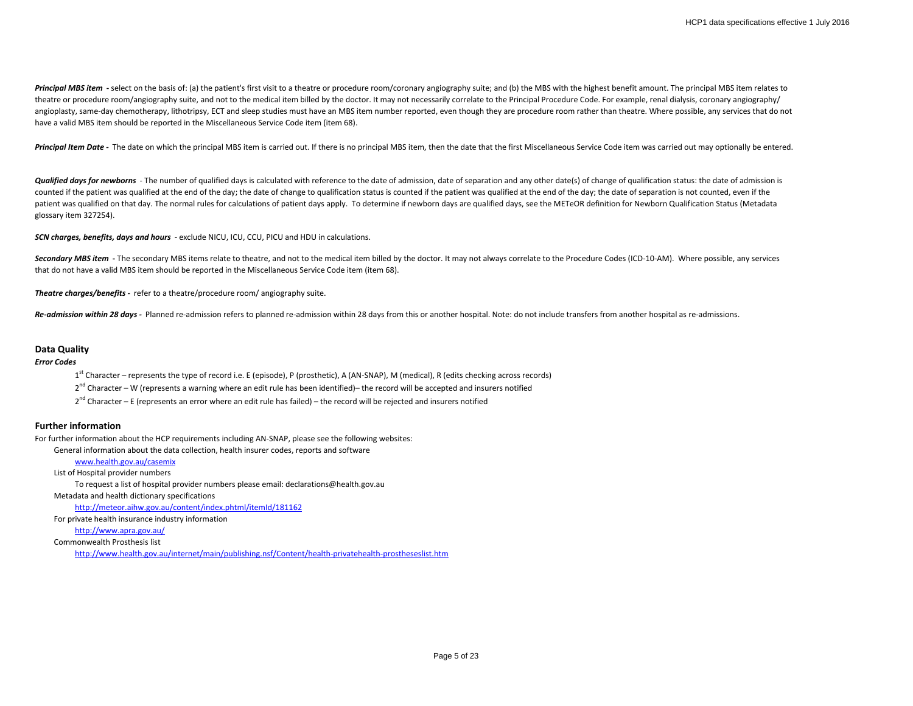Principal MBS item - select on the basis of: (a) the patient's first visit to a theatre or procedure room/coronary angiography suite; and (b) the MBS with the highest benefit amount. The principal MBS item relates to theatre or procedure room/angiography suite, and not to the medical item billed by the doctor. It may not necessarily correlate to the Principal Procedure Code. For example, renal dialysis, coronary angiography/ angioplasty, same-day chemotherapy, lithotripsy, ECT and sleep studies must have an MBS item number reported, even though they are procedure room rather than theatre. Where possible, any services that do not have a valid MBS item should be reported in the Miscellaneous Service Code item (item 68).

Principal Item Date - The date on which the principal MBS item is carried out. If there is no principal MBS item, then the date that the first Miscellaneous Service Code item was carried out may optionally be entered.

*Qualified days for newborns* - The number of qualified days is calculated with reference to the date of admission, date of separation and any other date(s) of change of qualification status: the date of admission is counted if the patient was qualified at the end of the day; the date of change to qualification status is counted if the patient was qualified at the end of the day; the date of separation is not counted, even if the patient was qualified on that day. The normal rules for calculations of patient days apply. To determine if newborn days are qualified days, see the METeOR definition for Newborn Qualification Status (Metadata glossary item 327254).

*SCN charges, benefits, days and hours* - exclude NICU, ICU, CCU, PICU and HDU in calculations.

Secondary MBS item - The secondary MBS items relate to theatre, and not to the medical item billed by the doctor. It may not always correlate to the Procedure Codes (ICD-10-AM). Where possible, any services that do not have a valid MBS item should be reported in the Miscellaneous Service Code item (item 68).

*Theatre charges/benefits -* refer to a theatre/procedure room/ angiography suite.

Re-admission within 28 days - Planned re-admission refers to planned re-admission within 28 days from this or another hospital. Note: do not include transfers from another hospital as re-admissions.

## **Data Quality**

#### *Error Codes*

1<sup>st</sup> Character – represents the type of record i.e. E (episode), P (prosthetic), A (AN-SNAP), M (medical), R (edits checking across records)

- $2^{nd}$  Character W (represents a warning where an edit rule has been identified)– the record will be accepted and insurers notified
- $2^{nd}$  Character E (represents an error where an edit rule has failed) the record will be rejected and insurers notified

# **Further information**

For further information about the HCP requirements including AN-SNAP, please see the following websites:

General information about the data collection, health insurer codes, reports and software

[www.health.gov.au/casemix](http://www.health.gov.au/casemix) List of Hospital provider numbers To request a list of hospital provider numbers please email: declarations@health.gov.au Metadata and health dictionary specifications <http://meteor.aihw.gov.au/content/index.phtml/itemId/181162> For private health insurance industry information [http://www.apra.gov.au/](http://www.phiac.gov.au/)

Commonwealth Prosthesis list

<http://www.health.gov.au/internet/main/publishing.nsf/Content/health-privatehealth-prostheseslist.htm>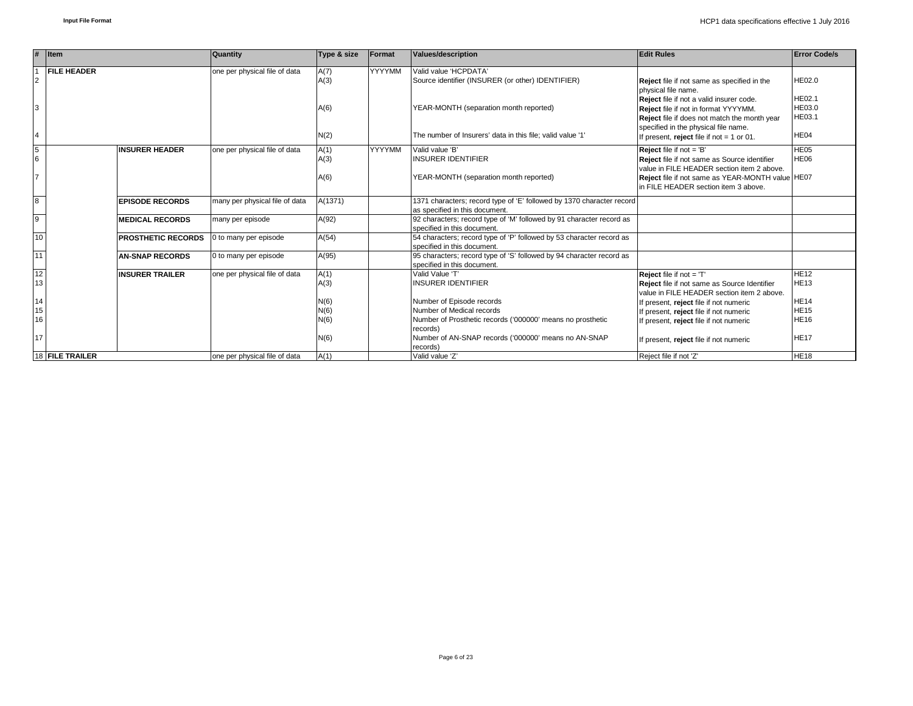|                | $#$ Item                  | <b>Quantity</b>                | Type & size            | Format | Values/description                                                                                      | <b>Edit Rules</b>                                                                                                                                                        | <b>Error Code/s</b>               |
|----------------|---------------------------|--------------------------------|------------------------|--------|---------------------------------------------------------------------------------------------------------|--------------------------------------------------------------------------------------------------------------------------------------------------------------------------|-----------------------------------|
| $\overline{2}$ | <b>FILE HEADER</b>        | one per physical file of data  | A(7)<br>A(3)           | YYYYMM | Valid value 'HCPDATA'<br>Source identifier (INSURER (or other) IDENTIFIER)                              | Reject file if not same as specified in the<br>physical file name.                                                                                                       | <b>HE02.0</b>                     |
| 3              |                           |                                | A(6)                   |        | YEAR-MONTH (separation month reported)                                                                  | Reject file if not a valid insurer code.<br>Reject file if not in format YYYYMM.<br>Reject file if does not match the month year<br>specified in the physical file name. | <b>HE02.1</b><br>HE03.0<br>HE03.1 |
| $\overline{4}$ |                           |                                | N(2)                   |        | The number of Insurers' data in this file: valid value '1'                                              | If present, reject file if not $= 1$ or 01.                                                                                                                              | HE <sub>04</sub>                  |
| 5<br>6         | <b>INSURER HEADER</b>     | one per physical file of data  | YYYYMM<br>A(1)<br>A(3) |        | Valid value 'B'<br><b>INSURER IDENTIFIER</b>                                                            | <b>Reject</b> file if not $=$ 'B'<br>Reject file if not same as Source identifier<br>value in FILE HEADER section item 2 above.                                          | HE05<br>HE06                      |
| $\overline{7}$ |                           |                                |                        |        | YEAR-MONTH (separation month reported)                                                                  | Reject file if not same as YEAR-MONTH value HE07<br>In FILE HEADER section item 3 above.                                                                                 |                                   |
| $\overline{8}$ | <b>EPISODE RECORDS</b>    | many per physical file of data | A(1371)                |        | 1371 characters; record type of 'E' followed by 1370 character record<br>as specified in this document. |                                                                                                                                                                          |                                   |
| $\overline{9}$ | <b>MEDICAL RECORDS</b>    | many per episode               | A(92)                  |        | 92 characters; record type of 'M' followed by 91 character record as<br>specified in this document.     |                                                                                                                                                                          |                                   |
| 10             | <b>PROSTHETIC RECORDS</b> | 0 to many per episode          | A(54)                  |        | 54 characters; record type of 'P' followed by 53 character record as<br>specified in this document.     |                                                                                                                                                                          |                                   |
| 11             | <b>AN-SNAP RECORDS</b>    | 0 to many per episode          | A(95)                  |        | 95 characters; record type of 'S' followed by 94 character record as<br>specified in this document      |                                                                                                                                                                          |                                   |
| 12<br>13       | <b>INSURER TRAILER</b>    | one per physical file of data  | A(1)<br>A(3)           |        | Valid Value 'T'<br><b>INSURER IDENTIFIER</b>                                                            | Reject file if not = 'T'<br>Reject file if not same as Source Identifier<br>value in FILE HEADER section item 2 above.                                                   | <b>HE12</b><br><b>HE13</b>        |
| 14             |                           |                                | N(6)                   |        | Number of Episode records                                                                               | If present, reject file if not numeric                                                                                                                                   | <b>HE14</b>                       |
| 15             |                           |                                | N(6)                   |        | Number of Medical records                                                                               | If present, reject file if not numeric                                                                                                                                   | <b>HE15</b>                       |
| 16             |                           |                                | N(6)                   |        | Number of Prosthetic records ('000000' means no prosthetic<br>records)                                  | If present, reject file if not numeric                                                                                                                                   | <b>HE16</b>                       |
| 17             |                           |                                | N(6)                   |        | Number of AN-SNAP records ('000000' means no AN-SNAP<br>records)                                        | If present, reject file if not numeric                                                                                                                                   | <b>HE17</b>                       |
|                | <b>18 FILE TRAILER</b>    | one per physical file of data  | A(1)                   |        | Valid value 'Z'                                                                                         | Reject file if not 'Z'                                                                                                                                                   | <b>HE18</b>                       |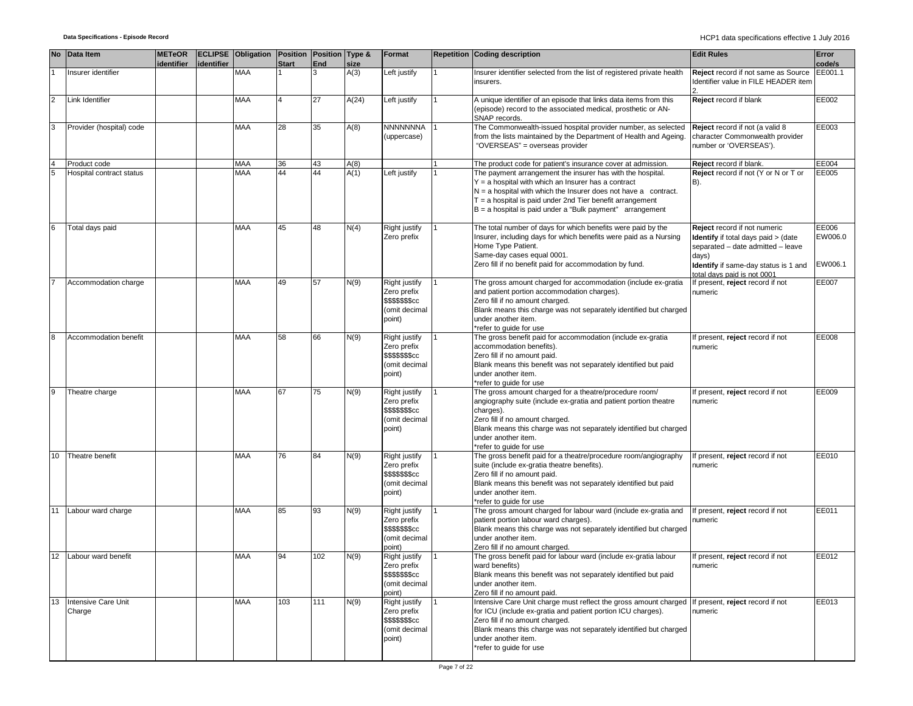| <b>No</b>      | Data Item                     | <b>METeOR</b><br>identifier | identifier | ECLIPSE Obligation Position Position Type & | <b>Start</b>            | End | size  | Format                                                                                    | <b>Repetition Coding description</b>                                                                                                                                                                                                                                                                                 | <b>Edit Rules</b>                                                                                                                                                                               | Error<br>code/s             |
|----------------|-------------------------------|-----------------------------|------------|---------------------------------------------|-------------------------|-----|-------|-------------------------------------------------------------------------------------------|----------------------------------------------------------------------------------------------------------------------------------------------------------------------------------------------------------------------------------------------------------------------------------------------------------------------|-------------------------------------------------------------------------------------------------------------------------------------------------------------------------------------------------|-----------------------------|
|                | Insurer identifier            |                             |            | <b>MAA</b>                                  |                         | 3   | A(3)  | Left justify                                                                              | Insurer identifier selected from the list of registered private health<br>insurers.                                                                                                                                                                                                                                  | Reject record if not same as Source<br>Identifier value in FILE HEADER item                                                                                                                     | EE001.1                     |
| $\overline{2}$ | Link Identifier               |                             |            | <b>MAA</b>                                  | $\overline{\mathbf{A}}$ | 27  | A(24) | Left justify                                                                              | A unique identifier of an episode that links data items from this<br>(episode) record to the associated medical, prosthetic or AN-<br>SNAP records.                                                                                                                                                                  | Reject record if blank                                                                                                                                                                          | EE002                       |
| 3              | Provider (hospital) code      |                             |            | <b>MAA</b>                                  | 28                      | 35  | A(8)  | <b>NNNNNNNA</b><br>(uppercase)                                                            | The Commonwealth-issued hospital provider number, as selected<br>from the lists maintained by the Department of Health and Ageing.<br>"OVERSEAS" = overseas provider                                                                                                                                                 | Reject record if not (a valid 8<br>character Commonwealth provider<br>number or 'OVERSEAS').                                                                                                    | EE003                       |
| $\overline{4}$ | Product code                  |                             |            | <b>MAA</b>                                  | 36                      | 43  | A(8)  |                                                                                           | The product code for patient's insurance cover at admission.                                                                                                                                                                                                                                                         | Reject record if blank.                                                                                                                                                                         | EE004                       |
| 5              | Hospital contract status      |                             |            | <b>MAA</b>                                  | 44                      | 44  | A(1)  | Left justify                                                                              | The payment arrangement the insurer has with the hospital.<br>Y = a hospital with which an Insurer has a contract<br>$N = a$ hospital with which the Insurer does not have a contract.<br>$T = a$ hospital is paid under 2nd Tier benefit arrangement<br>$B = a$ hospital is paid under a "Bulk payment" arrangement | Reject record if not (Y or N or T or<br>B).                                                                                                                                                     | EE005                       |
| 6              | Total days paid               |                             |            | <b>MAA</b>                                  | 45                      | 48  | N(4)  | Right justify<br>Zero prefix                                                              | The total number of days for which benefits were paid by the<br>Insurer, including days for which benefits were paid as a Nursing<br>Home Type Patient.<br>Same-day cases equal 0001.<br>Zero fill if no benefit paid for accommodation by fund.                                                                     | Reject record if not numeric<br><b>Identify</b> if total days paid > (date<br>separated - date admitted - leave<br>days)<br>Identify if same-day status is 1 and<br>total davs paid is not 0001 | EE006<br>EW006.0<br>EW006.1 |
|                | Accommodation charge          |                             |            | <b>MAA</b>                                  | 49                      | 57  | N(9)  | Right justify<br>Zero prefix<br>\$\$\$\$\$\$\$cc<br>(omit decimal<br>point)               | The gross amount charged for accommodation (include ex-gratia<br>and patient portion accommodation charges).<br>Zero fill if no amount charged.<br>Blank means this charge was not separately identified but charged<br>under another item.<br>*refer to quide for use                                               | If present, reject record if not<br>numeric                                                                                                                                                     | EE007                       |
| 8              | Accommodation benefit         |                             |            | <b>MAA</b>                                  | 58                      | 66  | N(9)  | <b>Right justify</b><br>Zero prefix<br><b>\$\$\$\$\$\$\$cc</b><br>(omit decimal<br>point) | The gross benefit paid for accommodation (include ex-gratia<br>accommodation benefits).<br>Zero fill if no amount paid.<br>Blank means this benefit was not separately identified but paid<br>under another item.<br>*refer to quide for use                                                                         | If present, reject record if not<br>numeric                                                                                                                                                     | EE008                       |
| 9              | Theatre charge                |                             |            | <b>MAA</b>                                  | 67                      | 75  | N(9)  | Right justify<br>Zero prefix<br>\$\$\$\$\$\$\$cc<br>(omit decimal<br>point)               | The gross amount charged for a theatre/procedure room/<br>angiography suite (include ex-gratia and patient portion theatre<br>charges).<br>Zero fill if no amount charged.<br>Blank means this charge was not separately identified but charged<br>under another item.<br>*refer to quide for use                    | If present, reject record if not<br>numeric                                                                                                                                                     | EE009                       |
| 10             | Theatre benefit               |                             |            | <b>MAA</b>                                  | 76                      | 84  | N(9)  | <b>Right justify</b><br>Zero prefix<br>\$\$\$\$\$\$\$cc<br>(omit decimal<br>point)        | The gross benefit paid for a theatre/procedure room/angiography<br>suite (include ex-gratia theatre benefits).<br>Zero fill if no amount paid.<br>Blank means this benefit was not separately identified but paid<br>under another item.<br>*refer to guide for use                                                  | If present, reject record if not<br>numeric                                                                                                                                                     | EE010                       |
| 11             | Labour ward charge            |                             |            | <b>MAA</b>                                  | 85                      | 93  | N(9)  | <b>Right justify</b><br>Zero prefix<br>\$\$\$\$\$\$\$cc<br>(omit decimal<br>point)        | The gross amount charged for labour ward (include ex-gratia and<br>patient portion labour ward charges).<br>Blank means this charge was not separately identified but charged<br>under another item.<br>Zero fill if no amount charged.                                                                              | If present, reject record if not<br>numeric                                                                                                                                                     | EE011                       |
| 12             | Labour ward benefit           |                             |            | <b>MAA</b>                                  | 94                      | 102 | N(9)  | Right justify<br>∠ero pre⊓x<br>\$\$\$\$\$\$\$cc<br>(omit decimal<br>point)                | The gross benefit paid for labour ward (include ex-gratia labour<br>ward benefits)<br>Blank means this benefit was not separately identified but paid<br>under another item.<br>Zero fill if no amount paid.                                                                                                         | If present, reject record if not<br>าumeric                                                                                                                                                     | EE012                       |
| 13             | Intensive Care Unit<br>Charge |                             |            | <b>MAA</b>                                  | 103                     | 111 | N(9)  | Right justify<br>Zero prefix<br>\$\$\$\$\$\$\$cc<br>(omit decimal<br>point)               | Intensive Care Unit charge must reflect the gross amount charged<br>for ICU (include ex-gratia and patient portion ICU charges).<br>Zero fill if no amount charged.<br>Blank means this charge was not separately identified but charged<br>under another item.<br>*refer to guide for use                           | If present, reject record if not<br>numeric                                                                                                                                                     | EE013                       |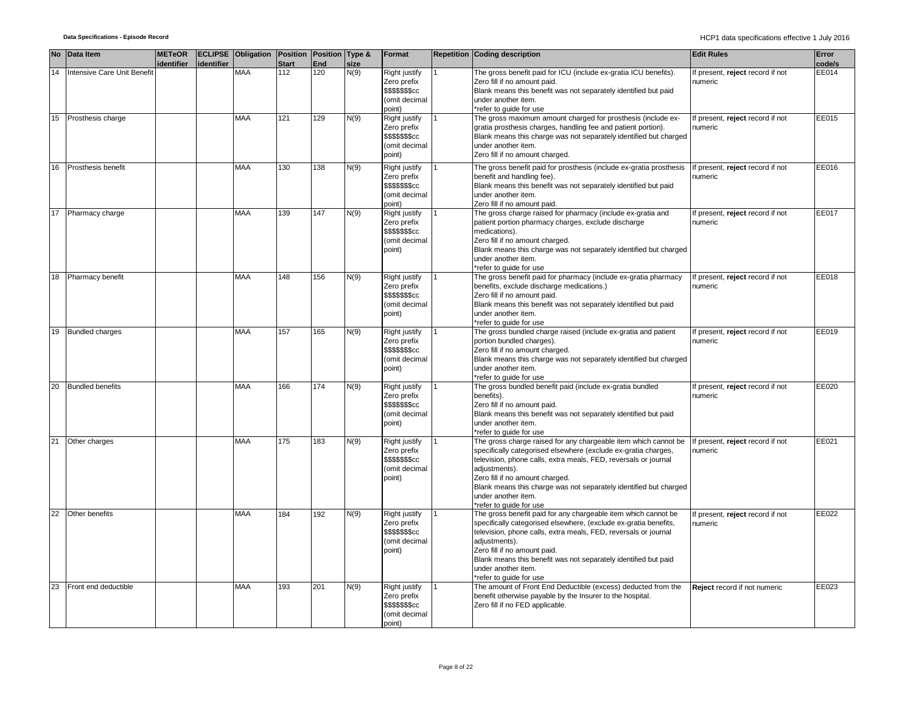|    | No Data Item                | <b>METeOR</b><br>identifier | identifier | <b>ECLIPSE</b> Obligation Position Position Type & | <b>Start</b> | End | size | Format                                                                             | <b>Repetition Coding description</b>                                                                                                                                                                                                                                                                                                                                           | <b>Edit Rules</b>                           | Error<br>code/s |
|----|-----------------------------|-----------------------------|------------|----------------------------------------------------|--------------|-----|------|------------------------------------------------------------------------------------|--------------------------------------------------------------------------------------------------------------------------------------------------------------------------------------------------------------------------------------------------------------------------------------------------------------------------------------------------------------------------------|---------------------------------------------|-----------------|
| 14 | Intensive Care Unit Benefit |                             |            | <b>MAA</b>                                         | 112          | 120 | N(9) | Right justify<br>Zero prefix<br>\$\$\$\$\$\$\$cc<br>(omit decimal<br>point)        | The gross benefit paid for ICU (include ex-gratia ICU benefits).<br>Zero fill if no amount paid.<br>Blank means this benefit was not separately identified but paid<br>under another item.<br>refer to quide for use                                                                                                                                                           | If present, reject record if not<br>numeric | EE014           |
|    | 15 Prosthesis charge        |                             |            | <b>MAA</b>                                         | 121          | 129 | N(9) | Right justify<br>Zero prefix<br>\$\$\$\$\$\$\$cc<br>(omit decimal<br>point)        | The gross maximum amount charged for prosthesis (include ex-<br>gratia prosthesis charges, handling fee and patient portion).<br>Blank means this charge was not separately identified but charged<br>under another item.<br>Zero fill if no amount charged.                                                                                                                   | If present, reject record if not<br>numeric | EE015           |
| 16 | Prosthesis benefit          |                             |            | <b>MAA</b>                                         | 130          | 138 | N(9) | Right justify<br>Zero prefix<br>\$\$\$\$\$\$\$cc<br>(omit decimal<br>point)        | The gross benefit paid for prosthesis (include ex-gratia prosthesis<br>benefit and handling fee).<br>Blank means this benefit was not separately identified but paid<br>under another item.<br>Zero fill if no amount paid.                                                                                                                                                    | If present, reject record if not<br>numeric | EE016           |
| 17 | Pharmacy charge             |                             |            | <b>MAA</b>                                         | 139          | 147 | N(9) | Right justify<br>Zero prefix<br>\$\$\$\$\$\$cc<br>(omit decimal<br>point)          | The gross charge raised for pharmacy (include ex-gratia and<br>patient portion pharmacy charges, exclude discharge<br>medications).<br>Zero fill if no amount charged.<br>Blank means this charge was not separately identified but charged<br>under another item.<br>refer to quide for use                                                                                   | If present, reject record if not<br>numeric | <b>EE017</b>    |
|    | 18 Pharmacy benefit         |                             |            | <b>MAA</b>                                         | 148          | 156 | N(9) | Right justify<br>Zero prefix<br>\$\$\$\$\$\$\$cc<br>(omit decimal<br>point)        | The gross benefit paid for pharmacy (include ex-gratia pharmacy<br>benefits, exclude discharge medications.)<br>Zero fill if no amount paid.<br>Blank means this benefit was not separately identified but paid<br>under another item.<br>*refer to quide for use                                                                                                              | If present, reject record if not<br>numeric | EE018           |
|    | 19 Bundled charges          |                             |            | <b>MAA</b>                                         | 157          | 165 | N(9) | Right justify<br>Zero prefix<br><b>\$\$\$\$\$\$\$cc</b><br>(omit decimal<br>point) | The gross bundled charge raised (include ex-gratia and patient<br>portion bundled charges).<br>Zero fill if no amount charged.<br>Blank means this charge was not separately identified but charged<br>under another item.<br>*refer to guide for use                                                                                                                          | If present, reject record if not<br>numeric | EE019           |
| 20 | <b>Bundled benefits</b>     |                             |            | <b>MAA</b>                                         | 166          | 174 | N(9) | Right justify<br>Zero prefix<br>\$\$\$\$\$\$\$cc<br>(omit decimal<br>point)        | The gross bundled benefit paid (include ex-gratia bundled<br>benefits).<br>Zero fill if no amount paid.<br>Blank means this benefit was not separately identified but paid<br>under another item.<br>*refer to guide for use                                                                                                                                                   | If present, reject record if not<br>numeric | EE020           |
| 21 | Other charges               |                             |            | <b>MAA</b>                                         | 175          | 183 | N(9) | Right justify<br>Zero prefix<br>\$\$\$\$\$\$\$cc<br>(omit decimal<br>point)        | The gross charge raised for any chargeable item which cannot be<br>specifically categorised elsewhere (exclude ex-gratia charges,<br>television, phone calls, extra meals, FED, reversals or journal<br>adjustments).<br>Zero fill if no amount charged.<br>Blank means this charge was not separately identified but charged<br>under another item.<br>refer to quide for use | If present, reject record if not<br>numeric | EE021           |
| 22 | Other benefits              |                             |            | <b>MAA</b>                                         | 184          | 192 | N(9) | Right justify<br>Zero prefix<br>\$\$\$\$\$\$\$cc<br>(omit decimal<br>point)        | The gross benefit paid for any chargeable item which cannot be<br>specifically categorised elsewhere, (exclude ex-gratia benefits,<br>television, phone calls, extra meals, FED, reversals or journal<br>adjustments).<br>Zero fill if no amount paid.<br>Blank means this benefit was not separately identified but paid<br>under another item.<br>*refer to quide for use    | If present, reject record if not<br>numeric | EE022           |
| 23 | Front end deductible        |                             |            | <b>MAA</b>                                         | 193          | 201 | N(9) | Right justify<br>Zero prefix<br>\$\$\$\$\$\$cc<br>(omit decimal<br>point)          | The amount of Front End Deductible (excess) deducted from the<br>benefit otherwise payable by the Insurer to the hospital.<br>Zero fill if no FED applicable.                                                                                                                                                                                                                  | Reject record if not numeric                | EE023           |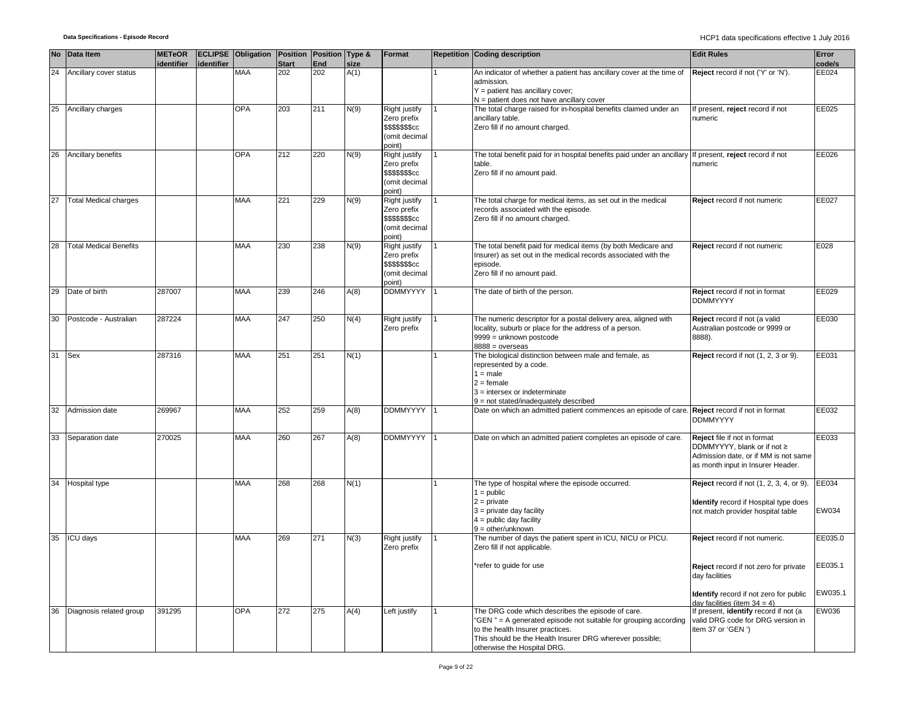|    | No Data Item                  | <b>METeOR</b><br>identifier | identifier | <b>ECLIPSE Obligation Position Position Type &amp;</b> | <b>Start</b> | End | size | Format                                                                             | <b>Repetition Coding description</b>                                                                                                                                                                                                                | <b>Edit Rules</b>                                                                                                                             | Error<br>code/s    |
|----|-------------------------------|-----------------------------|------------|--------------------------------------------------------|--------------|-----|------|------------------------------------------------------------------------------------|-----------------------------------------------------------------------------------------------------------------------------------------------------------------------------------------------------------------------------------------------------|-----------------------------------------------------------------------------------------------------------------------------------------------|--------------------|
| 24 | Ancillary cover status        |                             |            | MAA                                                    | 202          | 202 | A(1) |                                                                                    | An indicator of whether a patient has ancillary cover at the time of<br>admission.<br>$Y =$ patient has ancillary cover;<br>N = patient does not have ancillary cover                                                                               | Reject record if not ('Y' or 'N').                                                                                                            | EE024              |
|    | 25 Ancillary charges          |                             |            | <b>OPA</b>                                             | 203          | 211 | N(9) | Right justify<br>Zero prefix<br><b>\$\$\$\$\$\$\$cc</b><br>(omit decimal<br>point) | The total charge raised for in-hospital benefits claimed under an<br>ancillary table.<br>Zero fill if no amount charged.                                                                                                                            | If present, reject record if not<br>numeric                                                                                                   | EE025              |
| 26 | Ancillary benefits            |                             |            | <b>OPA</b>                                             | 212          | 220 | N(9) | Right justify<br>Zero prefix<br><b>\$\$\$\$\$\$\$cc</b><br>(omit decimal<br>point) | The total benefit paid for in hospital benefits paid under an ancillary<br>table.<br>Zero fill if no amount paid.                                                                                                                                   | If present, reject record if not<br>numeric                                                                                                   | EE026              |
| 27 | <b>Total Medical charges</b>  |                             |            | <b>MAA</b>                                             | 221          | 229 | N(9) | Right justify<br>Zero prefix<br>\$\$\$\$\$\$\$cc<br>(omit decimal<br>point)        | The total charge for medical items, as set out in the medical<br>records associated with the episode.<br>Zero fill if no amount charged.                                                                                                            | Reject record if not numeric                                                                                                                  | EE027              |
| 28 | <b>Total Medical Benefits</b> |                             |            | MAA                                                    | 230          | 238 | N(9) | Right justify<br>Zero prefix<br>\$\$\$\$\$\$\$cc<br>(omit decimal<br>point)        | The total benefit paid for medical items (by both Medicare and<br>Insurer) as set out in the medical records associated with the<br>episode.<br>Zero fill if no amount paid.                                                                        | Reject record if not numeric                                                                                                                  | E028               |
| 29 | Date of birth                 | 287007                      |            | <b>MAA</b>                                             | 239          | 246 | A(8) | <b>DDMMYYYY</b>                                                                    | The date of birth of the person.                                                                                                                                                                                                                    | Reject record if not in format<br><b>DDMMYYYY</b>                                                                                             | EE029              |
| 30 | Postcode - Australian         | 287224                      |            | <b>MAA</b>                                             | 247          | 250 | N(4) | Right justify<br>Zero prefix                                                       | The numeric descriptor for a postal delivery area, aligned with<br>locality, suburb or place for the address of a person.<br>9999 = unknown postcode<br>$8888 = 0$ verseas                                                                          | Reject record if not (a valid<br>Australian postcode or 9999 or<br>8888).                                                                     | EE030              |
| 31 | <b>Sex</b>                    | 287316                      |            | <b>MAA</b>                                             | 251          | 251 | N(1) |                                                                                    | The biological distinction between male and female, as<br>represented by a code.<br>$1 = male$<br>$2 =$ female<br>$3$ = intersex or indeterminate<br>9 = not stated/inadequately described                                                          | Reject record if not (1, 2, 3 or 9).                                                                                                          | EE031              |
| 32 | Admission date                | 269967                      |            | <b>MAA</b>                                             | 252          | 259 | A(8) | <b>DDMMYYYY</b>                                                                    | Date on which an admitted patient commences an episode of care.                                                                                                                                                                                     | Reject record if not in format<br><b>DDMMYYYY</b>                                                                                             | EE032              |
|    | 33 Separation date            | 270025                      |            | MAA                                                    | 260          | 267 | A(8) | <b>DDMMYYYY</b>                                                                    | Date on which an admitted patient completes an episode of care.                                                                                                                                                                                     | Reject file if not in format<br>DDMMYYYY, blank or if not $\geq$<br>Admission date, or if MM is not same<br>as month input in Insurer Header. | EE033              |
| 34 | Hospital type                 |                             |            | MAA                                                    | 268          | 268 | N(1) |                                                                                    | The type of hospital where the episode occurred.<br>$1 = \text{public}$<br>$2 = private$<br>$3$ = private day facility<br>$4 =$ public day facility<br>$9 =$ other/unknown                                                                          | Reject record if not (1, 2, 3, 4, or 9).<br><b>Identify</b> record if Hospital type does<br>not match provider hospital table                 | EE034<br>EW034     |
| 35 | ICU days                      |                             |            | MAA                                                    | 269          | 271 | N(3) | Right justify<br>Zero prefix                                                       | The number of days the patient spent in ICU, NICU or PICU.<br>Zero fill if not applicable.<br>*refer to guide for use                                                                                                                               | Reject record if not numeric.<br>Reject record if not zero for private                                                                        | EE035.0<br>EE035.1 |
|    |                               |                             |            |                                                        |              |     |      |                                                                                    |                                                                                                                                                                                                                                                     | day facilities<br>Identify record if not zero for public                                                                                      | EW035.1            |
|    | 36 Diagnosis related group    | 391295                      |            | <b>OPA</b>                                             | 272          | 275 | A(4) | Left justify                                                                       | The DRG code which describes the episode of care.<br>"GEN" = A generated episode not suitable for grouping according<br>to the health Insurer practices.<br>This should be the Health Insurer DRG wherever possible;<br>otherwise the Hospital DRG. | day facilities (item $34 = 4$ )<br>If present, identify record if not (a<br>valid DRG code for DRG version in<br>item 37 or 'GEN ')           | EW036              |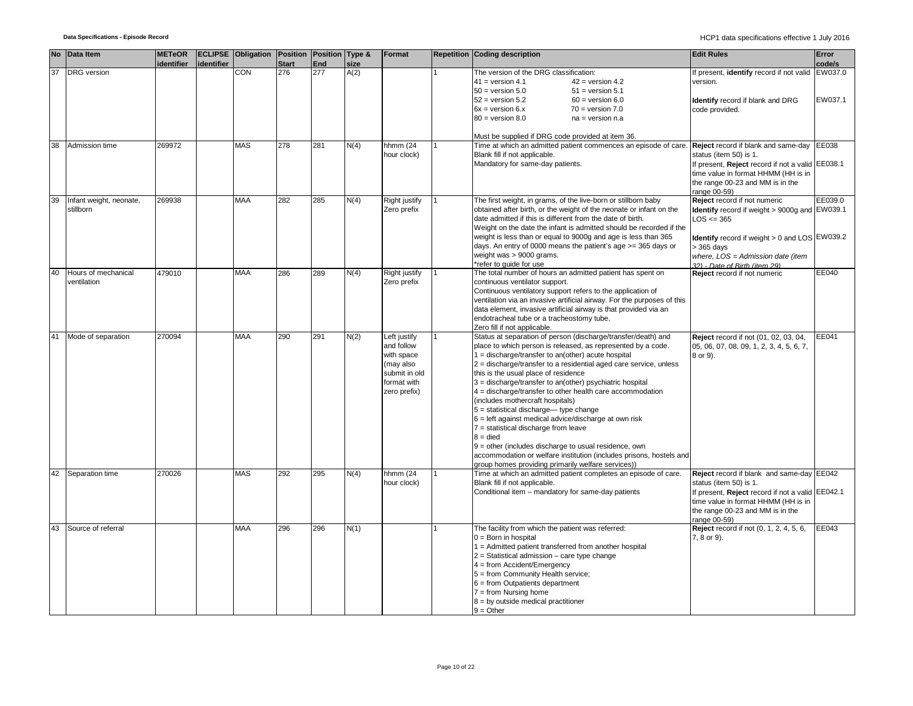|    | No Data Item                         | <b>METeOR</b> |            | ECLIPSE Obligation Position Position Type & |              |            |      | Format                                                                                                | <b>Repetition Coding description</b>                                                                                                                                                                                                                                                                                                                                                                                                                                                                                                                                                                                                                                                                                                                                                                                       | <b>Edit Rules</b>                                                                                                                                                     | Error   |
|----|--------------------------------------|---------------|------------|---------------------------------------------|--------------|------------|------|-------------------------------------------------------------------------------------------------------|----------------------------------------------------------------------------------------------------------------------------------------------------------------------------------------------------------------------------------------------------------------------------------------------------------------------------------------------------------------------------------------------------------------------------------------------------------------------------------------------------------------------------------------------------------------------------------------------------------------------------------------------------------------------------------------------------------------------------------------------------------------------------------------------------------------------------|-----------------------------------------------------------------------------------------------------------------------------------------------------------------------|---------|
|    |                                      | identifier    | identifier |                                             | <b>Start</b> | <b>End</b> | size |                                                                                                       |                                                                                                                                                                                                                                                                                                                                                                                                                                                                                                                                                                                                                                                                                                                                                                                                                            |                                                                                                                                                                       | code/s  |
| 37 | <b>DRG</b> version                   |               |            | CON                                         | 276          | 277        | A(2) |                                                                                                       | The version of the DRG classification:<br>$41 =$ version 4.1<br>$42 =$ version 4.2<br>$50 =$ version $5.0$<br>$51 =$ version $5.1$                                                                                                                                                                                                                                                                                                                                                                                                                                                                                                                                                                                                                                                                                         | f present, identify record if not valid<br>version.                                                                                                                   | EW037.0 |
|    |                                      |               |            |                                             |              |            |      |                                                                                                       | $52 =$ version $5.2$<br>$60 =$ version $6.0$<br>$6x =$ version $6.x$<br>$70 = version 7.0$<br>$80 =$ version $8.0$<br>$na = version n.a$                                                                                                                                                                                                                                                                                                                                                                                                                                                                                                                                                                                                                                                                                   | Identify record if blank and DRG<br>code provided.                                                                                                                    | EW037.1 |
| 38 | Admission time                       | 269972        |            | <b>MAS</b>                                  | 278          | 281        | N(4) | hhmm (24                                                                                              | Must be supplied if DRG code provided at item 36.<br>Time at which an admitted patient commences an episode of care.                                                                                                                                                                                                                                                                                                                                                                                                                                                                                                                                                                                                                                                                                                       | Reject record if blank and same-day                                                                                                                                   | EE038   |
|    |                                      |               |            |                                             |              |            |      | hour clock)                                                                                           | Blank fill if not applicable.<br>Mandatory for same-day patients.                                                                                                                                                                                                                                                                                                                                                                                                                                                                                                                                                                                                                                                                                                                                                          | status (item 50) is 1.<br>If present, Reject record if not a valid EE038.1<br>time value in format HHMM (HH is in<br>the range 00-23 and MM is in the<br>range 00-59) |         |
| 39 | Infant weight, neonate,<br>stillborn | 269938        |            | <b>MAA</b>                                  | 282          | 285        | N(4) | Right justify<br>Zero prefix                                                                          | The first weight, in grams, of the live-born or stillborn baby<br>obtained after birth, or the weight of the neonate or infant on the<br>date admitted if this is different from the date of birth.<br>Weight on the date the infant is admitted should be recorded if the<br>weight is less than or equal to 9000g and age is less than 365                                                                                                                                                                                                                                                                                                                                                                                                                                                                               | Reject record if not numeric<br>Identify record if weight > 9000g and EW039.1<br>$LOS \leq 365$<br>Identify record if weight > 0 and LOS EW039.2                      | EE039.0 |
|    |                                      |               |            |                                             |              |            |      |                                                                                                       | days. An entry of 0000 means the patient's age $>=$ 365 days or<br>weight was > 9000 grams.<br>*refer to guide for use                                                                                                                                                                                                                                                                                                                                                                                                                                                                                                                                                                                                                                                                                                     | > 365 days<br>where, $LOS = Admission date (item)$<br>32) - Date of Birth (item 29)                                                                                   |         |
| 40 | Hours of mechanical<br>ventilation   | 479010        |            | <b>MAA</b>                                  | 286          | 289        | N(4) | Right justify<br>Zero prefix                                                                          | The total number of hours an admitted patient has spent on<br>continuous ventilator support.<br>Continuous ventilatory support refers to the application of<br>ventilation via an invasive artificial airway. For the purposes of this<br>data element, invasive artificial airway is that provided via an<br>endotracheal tube or a tracheostomy tube.<br>Zero fill if not applicable.                                                                                                                                                                                                                                                                                                                                                                                                                                    | Reject record if not numeric                                                                                                                                          | EE040   |
| 41 | Mode of separation                   | 270094        |            | <b>MAA</b>                                  | 290          | 291        | N(2) | Left justify<br>and follow<br>with space<br>(may also<br>submit in old<br>format with<br>zero prefix) | Status at separation of person (discharge/transfer/death) and<br>place to which person is released, as represented by a code.<br>$1 =$ discharge/transfer to an(other) acute hospital<br>$2 =$ discharge/transfer to a residential aged care service, unless<br>this is the usual place of residence<br>3 = discharge/transfer to an(other) psychiatric hospital<br>$4 =$ discharge/transfer to other health care accommodation<br>(includes mothercraft hospitals)<br>$5 =$ statistical discharge— type change<br>$6$ = left against medical advice/discharge at own risk<br>$7$ = statistical discharge from leave<br>$8 = died$<br>$9$ = other (includes discharge to usual residence, own<br>accommodation or welfare institution (includes prisons, hostels and<br>group homes providing primarily welfare services)) | Reject record if not (01, 02, 03, 04,<br>05, 06, 07, 08, 09, 1, 2, 3, 4, 5, 6, 7,<br>8 or 9).                                                                         | EE041   |
| 42 | Separation time                      | 270026        |            | <b>MAS</b>                                  | 292          | 295        | N(4) | hhmm (24<br>hour clock)                                                                               | Time at which an admitted patient completes an episode of care.<br>Blank fill if not applicable.<br>Conditional item - mandatory for same-day patients                                                                                                                                                                                                                                                                                                                                                                                                                                                                                                                                                                                                                                                                     | Reject record if blank and same-day EE042<br>status (item 50) is 1.<br>If present, Reject record if not a valid EE042.1                                               |         |
|    |                                      |               |            |                                             |              |            |      |                                                                                                       |                                                                                                                                                                                                                                                                                                                                                                                                                                                                                                                                                                                                                                                                                                                                                                                                                            | time value in format HHMM (HH is in<br>the range 00-23 and MM is in the<br>range 00-59)                                                                               |         |
| 43 | Source of referral                   |               |            | <b>MAA</b>                                  | 296          | 296        | N(1) |                                                                                                       | The facility from which the patient was referred:<br>$0 = Born$ in hospital<br>1 = Admitted patient transferred from another hospital<br>$2 =$ Statistical admission – care type change<br>4 = from Accident/Emergency<br>5 = from Community Health service;<br>$6 = from$ Outpatients department<br>$7 = from$ Nursing home<br>$8 =$ by outside medical practitioner<br>$9 = Other$                                                                                                                                                                                                                                                                                                                                                                                                                                       | Reject record if not (0, 1, 2, 4, 5, 6,<br>7, 8 or 9).                                                                                                                | EE043   |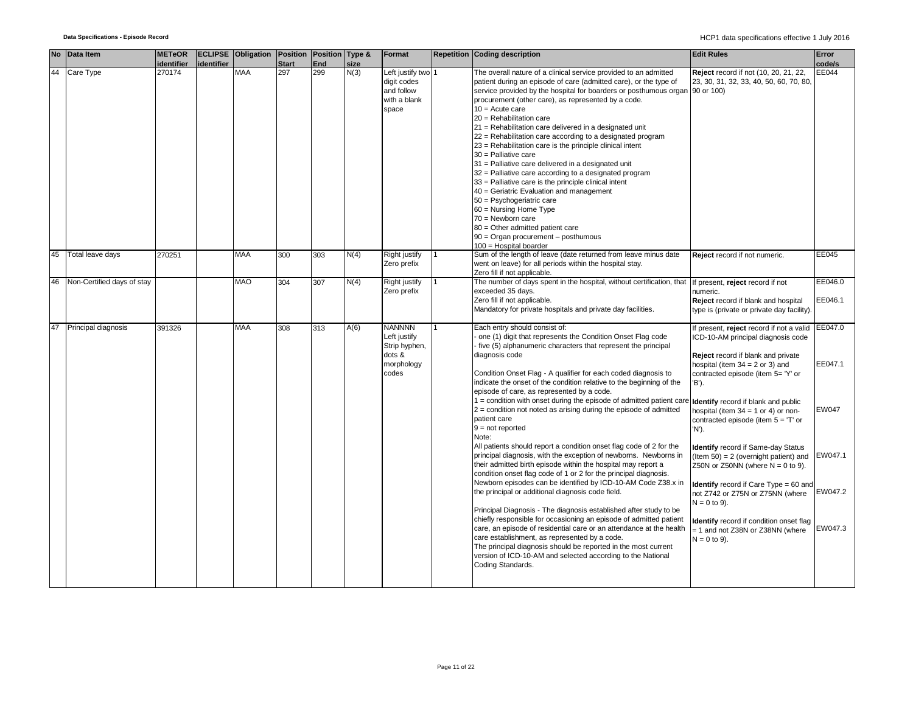| <b>No</b> | Data Item                  | <b>METeOR</b><br>identifier | identifier | <b>ECLIPSE Obligation Position Position Type &amp;</b> | <b>Start</b> | End | size | Format                                                                          | <b>Repetition Coding description</b>                                                                                                                                                                                                                                                                                                                                                                                                                                                                                                                                                                                                                                                                                                                                                                                                                                                                                                                     | <b>Edit Rules</b>                                                                                                                                                                                                                                                                                                                                                                                                                                                   | Error<br>code/s                        |
|-----------|----------------------------|-----------------------------|------------|--------------------------------------------------------|--------------|-----|------|---------------------------------------------------------------------------------|----------------------------------------------------------------------------------------------------------------------------------------------------------------------------------------------------------------------------------------------------------------------------------------------------------------------------------------------------------------------------------------------------------------------------------------------------------------------------------------------------------------------------------------------------------------------------------------------------------------------------------------------------------------------------------------------------------------------------------------------------------------------------------------------------------------------------------------------------------------------------------------------------------------------------------------------------------|---------------------------------------------------------------------------------------------------------------------------------------------------------------------------------------------------------------------------------------------------------------------------------------------------------------------------------------------------------------------------------------------------------------------------------------------------------------------|----------------------------------------|
| 44        | Care Type                  | 270174                      |            | <b>MAA</b>                                             | 297          | 299 | N(3) | Left justify two 1<br>digit codes<br>and follow<br>with a blank<br>space        | The overall nature of a clinical service provided to an admitted<br>patient during an episode of care (admitted care), or the type of<br>service provided by the hospital for boarders or posthumous organ 90 or 100)<br>procurement (other care), as represented by a code.<br>$10 =$ Acute care<br>$20$ = Rehabilitation care<br>21 = Rehabilitation care delivered in a designated unit<br>22 = Rehabilitation care according to a designated program<br>23 = Rehabilitation care is the principle clinical intent<br>$30$ = Palliative care<br>31 = Palliative care delivered in a designated unit<br>32 = Palliative care according to a designated program<br>33 = Palliative care is the principle clinical intent<br>40 = Geriatric Evaluation and management<br>50 = Psychogeriatric care<br>60 = Nursing Home Type<br>$70 =$ Newborn care<br>80 = Other admitted patient care<br>90 = Organ procurement - posthumous<br>100 = Hospital boarder | Reject record if not (10, 20, 21, 22,<br>23, 30, 31, 32, 33, 40, 50, 60, 70, 80,                                                                                                                                                                                                                                                                                                                                                                                    | EE044                                  |
| 45        | Total leave days           | 270251                      |            | <b>MAA</b>                                             | 300          | 303 | N(4) | Right justify<br>Zero prefix                                                    | Sum of the length of leave (date returned from leave minus date<br>went on leave) for all periods within the hospital stay.<br>Zero fill if not applicable.                                                                                                                                                                                                                                                                                                                                                                                                                                                                                                                                                                                                                                                                                                                                                                                              | Reject record if not numeric.                                                                                                                                                                                                                                                                                                                                                                                                                                       | EE045                                  |
| 46        | Non-Certified days of stay |                             |            | <b>MAO</b>                                             | 304          | 307 | N(4) | Right justify<br>Zero prefix                                                    | The number of days spent in the hospital, without certification, that<br>exceeded 35 days.<br>Zero fill if not applicable.<br>Mandatory for private hospitals and private day facilities.                                                                                                                                                                                                                                                                                                                                                                                                                                                                                                                                                                                                                                                                                                                                                                | If present, reject record if not<br>numeric.<br>Reject record if blank and hospital<br>type is (private or private day facility).                                                                                                                                                                                                                                                                                                                                   | EE046.0<br>EE046.1                     |
| 47        | Principal diagnosis        | 391326                      |            | <b>MAA</b>                                             | 308          | 313 | A(6) | <b>NANNNN</b><br>Left justify<br>Strip hyphen,<br>dots &<br>morphology<br>codes | Each entry should consist of:<br>one (1) digit that represents the Condition Onset Flag code<br>five (5) alphanumeric characters that represent the principal<br>diagnosis code<br>Condition Onset Flag - A qualifier for each coded diagnosis to<br>indicate the onset of the condition relative to the beginning of the<br>episode of care, as represented by a code.<br>1 = condition with onset during the episode of admitted patient care<br>$2$ = condition not noted as arising during the episode of admitted<br>patient care<br>$9 = not reported$<br>Note:<br>All patients should report a condition onset flag code of 2 for the<br>principal diagnosis, with the exception of newborns. Newborns in<br>their admitted birth episode within the hospital may report a<br>condition onset flag code of 1 or 2 for the principal diagnosis.                                                                                                    | f present, reject record if not a valid<br>ICD-10-AM principal diagnosis code<br>Reject record if blank and private<br>hospital (item $34 = 2$ or 3) and<br>contracted episode (item 5= 'Y' or<br>'B').<br>Identify record if blank and public<br>hospital (item $34 = 1$ or 4) or non-<br>contracted episode (item $5 = T$ or<br>'N').<br>Identify record if Same-day Status<br>$($ ltem 50 $) = 2$ (overnight patient) and<br>Z50N or Z50NN (where $N = 0$ to 9). | EE047.0<br>EE047.1<br>EW047<br>EW047.1 |
|           |                            |                             |            |                                                        |              |     |      |                                                                                 | Newborn episodes can be identified by ICD-10-AM Code Z38.x in<br>the principal or additional diagnosis code field.<br>Principal Diagnosis - The diagnosis established after study to be<br>chiefly responsible for occasioning an episode of admitted patient<br>care, an episode of residential care or an attendance at the health<br>care establishment, as represented by a code.<br>The principal diagnosis should be reported in the most current<br>version of ICD-10-AM and selected according to the National<br>Coding Standards.                                                                                                                                                                                                                                                                                                                                                                                                              | <b>Identify</b> record if Care Type = 60 and<br>not Z742 or Z75N or Z75NN (where<br>$N = 0$ to 9).<br>Identify record if condition onset flag<br>= 1 and not Z38N or Z38NN (where<br>$N = 0$ to 9).                                                                                                                                                                                                                                                                 | EW047.2<br>EW047.3                     |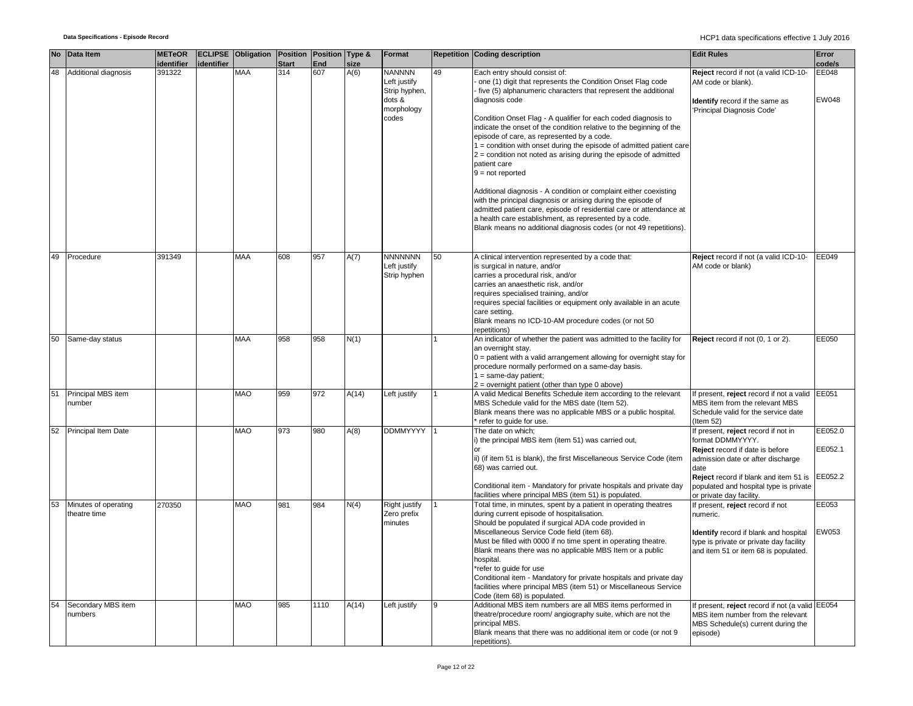|    | No Data Item                         | <b>METeOR</b>        |            | <b>ECLIPSE Obligation Position Position Type &amp;</b> |                     |            |              | Format                                                                          |    | <b>Repetition Coding description</b>                                                                                                                                                                                                                                                                                                                                                                                                                                                                                                                                                                                                                                                                                                                                                                                                                                                                       | <b>Edit Rules</b>                                                                                                                                                                                                                                      | Error                         |
|----|--------------------------------------|----------------------|------------|--------------------------------------------------------|---------------------|------------|--------------|---------------------------------------------------------------------------------|----|------------------------------------------------------------------------------------------------------------------------------------------------------------------------------------------------------------------------------------------------------------------------------------------------------------------------------------------------------------------------------------------------------------------------------------------------------------------------------------------------------------------------------------------------------------------------------------------------------------------------------------------------------------------------------------------------------------------------------------------------------------------------------------------------------------------------------------------------------------------------------------------------------------|--------------------------------------------------------------------------------------------------------------------------------------------------------------------------------------------------------------------------------------------------------|-------------------------------|
| 48 | Additional diagnosis                 | identifier<br>391322 | identifier | <b>MAA</b>                                             | <b>Start</b><br>314 | End<br>607 | size<br>A(6) | <b>NANNNN</b><br>Left justify<br>Strip hyphen,<br>dots &<br>morphology<br>codes | 49 | Each entry should consist of:<br>one (1) digit that represents the Condition Onset Flag code<br>five (5) alphanumeric characters that represent the additional<br>diagnosis code<br>Condition Onset Flag - A qualifier for each coded diagnosis to<br>indicate the onset of the condition relative to the beginning of the<br>episode of care, as represented by a code.<br>1 = condition with onset during the episode of admitted patient care<br>$2$ = condition not noted as arising during the episode of admitted<br>patient care<br>$9 = not$ reported<br>Additional diagnosis - A condition or complaint either coexisting<br>with the principal diagnosis or arising during the episode of<br>admitted patient care, episode of residential care or attendance at<br>a health care establishment, as represented by a code.<br>Blank means no additional diagnosis codes (or not 49 repetitions). | Reject record if not (a valid ICD-10-<br>AM code or blank).<br><b>Identify</b> record if the same as<br>'Principal Diagnosis Code'                                                                                                                     | code/s<br>EE048<br>EW048      |
| 49 | Procedure                            | 391349               |            | <b>MAA</b>                                             | 608                 | 957        | A(7)         | <b>NNNNNNN</b><br>Left justify<br>Strip hyphen                                  | 50 | A clinical intervention represented by a code that:<br>is surgical in nature, and/or<br>carries a procedural risk, and/or<br>carries an anaesthetic risk, and/or<br>requires specialised training, and/or<br>requires special facilities or equipment only available in an acute<br>care setting.<br>Blank means no ICD-10-AM procedure codes (or not 50<br>repetitions)                                                                                                                                                                                                                                                                                                                                                                                                                                                                                                                                   | Reject record if not (a valid ICD-10-<br>AM code or blank)                                                                                                                                                                                             | EE049                         |
| 50 | Same-day status                      |                      |            | <b>MAA</b>                                             | 958                 | 958        | N(1)         |                                                                                 |    | An indicator of whether the patient was admitted to the facility for<br>an overnight stay.<br>$0 =$ patient with a valid arrangement allowing for overnight stay for<br>procedure normally performed on a same-day basis.<br>$1 = same-day patient;$<br>$2$ = overnight patient (other than type 0 above)                                                                                                                                                                                                                                                                                                                                                                                                                                                                                                                                                                                                  | Reject record if not (0, 1 or 2).                                                                                                                                                                                                                      | EE050                         |
| 51 | Principal MBS item<br>number         |                      |            | <b>MAO</b>                                             | 959                 | 972        | A(14)        | Left justify                                                                    |    | A valid Medical Benefits Schedule item according to the relevant<br>MBS Schedule valid for the MBS date (Item 52).<br>Blank means there was no applicable MBS or a public hospital.<br>refer to guide for use.                                                                                                                                                                                                                                                                                                                                                                                                                                                                                                                                                                                                                                                                                             | If present, reject record if not a valid<br>MBS item from the relevant MBS<br>Schedule valid for the service date<br>(Item 52)                                                                                                                         | EE051                         |
| 52 | <b>Principal Item Date</b>           |                      |            | <b>MAO</b>                                             | 973                 | 980        | A(8)         | <b>DDMMYYYY</b>                                                                 |    | The date on which;<br>i) the principal MBS item (item 51) was carried out,<br>$\Omega$<br>ii) (if item 51 is blank), the first Miscellaneous Service Code (item<br>68) was carried out.<br>Conditional item - Mandatory for private hospitals and private day<br>facilities where principal MBS (item 51) is populated.                                                                                                                                                                                                                                                                                                                                                                                                                                                                                                                                                                                    | If present, reject record if not in<br>format DDMMYYYY.<br>Reject record if date is before<br>admission date or after discharge<br>date<br>Reject record if blank and item 51 is<br>populated and hospital type is private<br>or private day facility. | EE052.0<br>EE052.1<br>EE052.2 |
| 53 | Minutes of operating<br>theatre time | 270350               |            | <b>MAO</b>                                             | 981                 | 984        | N(4)         | Right justify<br>Zero prefix<br>minutes                                         |    | Total time, in minutes, spent by a patient in operating theatres<br>during current episode of hospitalisation.<br>Should be populated if surgical ADA code provided in<br>Miscellaneous Service Code field (item 68).<br>Must be filled with 0000 if no time spent in operating theatre.<br>Blank means there was no applicable MBS Item or a public<br>hospital.<br>*refer to guide for use<br>Conditional item - Mandatory for private hospitals and private day<br>facilities where principal MBS (item 51) or Miscellaneous Service<br>Code (item 68) is populated.                                                                                                                                                                                                                                                                                                                                    | If present, reject record if not<br>numeric.<br>Identify record if blank and hospital<br>type is private or private day facility<br>and item 51 or item 68 is populated.                                                                               | EE053<br>EW053                |
| 54 | Secondary MBS item<br>numbers        |                      |            | <b>MAO</b>                                             | 985                 | 1110       | A(14)        | Left justify                                                                    |    | Additional MBS item numbers are all MBS items performed in<br>theatre/procedure room/ angiography suite, which are not the<br>principal MBS.<br>Blank means that there was no additional item or code (or not 9<br>repetitions).                                                                                                                                                                                                                                                                                                                                                                                                                                                                                                                                                                                                                                                                           | f present, reject record if not (a valid<br>MBS item number from the relevant<br>MBS Schedule(s) current during the<br>episode)                                                                                                                        | EE054                         |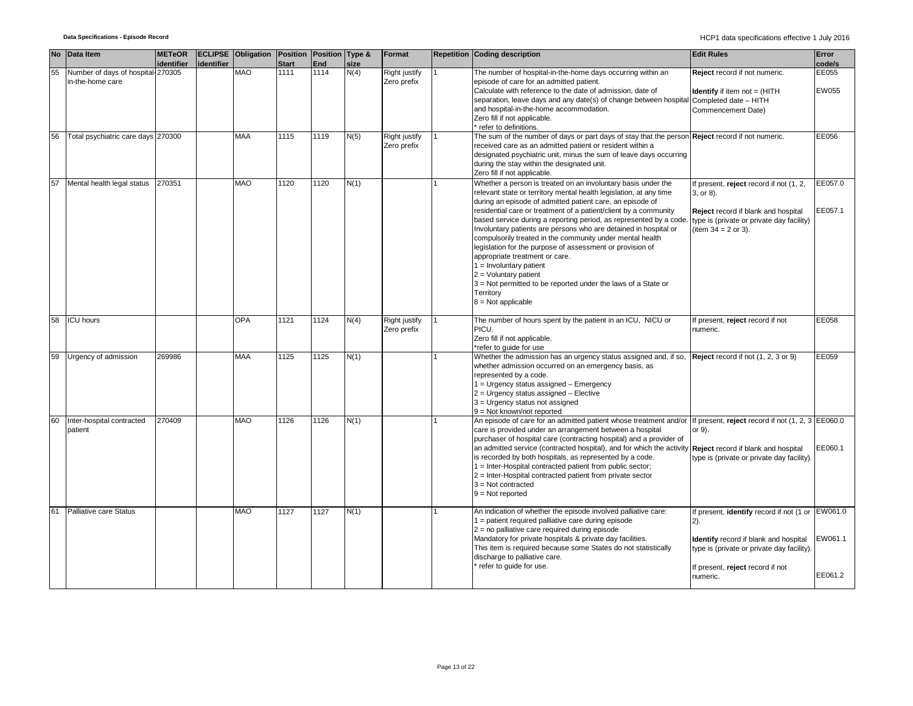|    | No Data Item                                          | <b>METeOR</b><br>identifier | identifier | ECLIPSE Obligation Position Position Type & | <b>Start</b> | <b>End</b> | size | Format                       | <b>Repetition Coding description</b>                                                                                                                                                                                                                                                                                                                                                                                                                                                                                                                                                                                                                                                                                                    | <b>Edit Rules</b>                                                                                                                                                                                        | Error<br>code/s       |
|----|-------------------------------------------------------|-----------------------------|------------|---------------------------------------------|--------------|------------|------|------------------------------|-----------------------------------------------------------------------------------------------------------------------------------------------------------------------------------------------------------------------------------------------------------------------------------------------------------------------------------------------------------------------------------------------------------------------------------------------------------------------------------------------------------------------------------------------------------------------------------------------------------------------------------------------------------------------------------------------------------------------------------------|----------------------------------------------------------------------------------------------------------------------------------------------------------------------------------------------------------|-----------------------|
| 55 | Number of days of hospital-270305<br>in-the-home care |                             |            | <b>MAO</b>                                  | 1111         | 1114       | N(4) | Right justify<br>Zero prefix | The number of hospital-in-the-home days occurring within an<br>episode of care for an admitted patient.<br>Calculate with reference to the date of admission, date of<br>separation, leave days and any date(s) of change between hospital Completed date - HITH<br>and hospital-in-the-home accommodation.<br>Zero fill if not applicable.<br>refer to definitions.                                                                                                                                                                                                                                                                                                                                                                    | Reject record if not numeric.<br><b>Identify</b> if item $not = (HITH)$<br>Commencement Date)                                                                                                            | EE055<br><b>EW055</b> |
| 56 | Total psychiatric care days 270300                    |                             |            | <b>MAA</b>                                  | 1115         | 1119       | N(5) | Right justify<br>Zero prefix | The sum of the number of days or part days of stay that the person Reject record if not numeric.<br>received care as an admitted patient or resident within a<br>designated psychiatric unit, minus the sum of leave days occurring<br>during the stay within the designated unit.<br>Zero fill if not applicable.                                                                                                                                                                                                                                                                                                                                                                                                                      |                                                                                                                                                                                                          | EE056                 |
| 57 | Mental health legal status 270351                     |                             |            | <b>OAM</b>                                  | 1120         | 1120       | N(1) |                              | Whether a person is treated on an involuntary basis under the<br>relevant state or territory mental health legislation, at any time<br>during an episode of admitted patient care, an episode of<br>residential care or treatment of a patient/client by a community<br>based service during a reporting period, as represented by a code<br>Involuntary patients are persons who are detained in hospital or<br>compulsorily treated in the community under mental health<br>legislation for the purpose of assessment or provision of<br>appropriate treatment or care.<br>$1 =$ Involuntary patient<br>$2 =$ Voluntary patient<br>3 = Not permitted to be reported under the laws of a State or<br>Territory<br>$8 = Not applicable$ | If present, reject record if not (1, 2,<br>3, or 8).<br>Reject record if blank and hospital<br>type is (private or private day facility)<br>(item $34 = 2$ or 3).                                        | EE057.0<br>EE057.1    |
| 58 | <b>ICU</b> hours                                      |                             |            | <b>OPA</b>                                  | 1121         | 1124       | N(4) | Right justify<br>Zero prefix | The number of hours spent by the patient in an ICU, NICU or<br>PICU.<br>Zero fill if not applicable.<br>*refer to quide for use                                                                                                                                                                                                                                                                                                                                                                                                                                                                                                                                                                                                         | If present, reject record if not<br>numeric.                                                                                                                                                             | EE058                 |
| 59 | Urgency of admission                                  | 269986                      |            | <b>MAA</b>                                  | 1125         | 1125       | N(1) |                              | Whether the admission has an urgency status assigned and, if so,<br>whether admission occurred on an emergency basis, as<br>represented by a code.<br>$1 =$ Urgency status assigned - Emergency<br>2 = Urgency status assigned - Elective<br>3 = Urgency status not assigned<br>$9 = Not known/not reported$                                                                                                                                                                                                                                                                                                                                                                                                                            | Reject record if not (1, 2, 3 or 9)                                                                                                                                                                      | EE059                 |
| 60 | Inter-hospital contracted<br>patient                  | 270409                      |            | <b>MAO</b>                                  | 1126         | 1126       | N(1) |                              | An episode of care for an admitted patient whose treatment and/or If present, reject record if not (1, 2, 3 EE060.0<br>care is provided under an arrangement between a hospital<br>purchaser of hospital care (contracting hospital) and a provider of<br>an admitted service (contracted hospital), and for which the activity<br>is recorded by both hospitals, as represented by a code.<br>1 = Inter-Hospital contracted patient from public sector;<br>2 = Inter-Hospital contracted patient from private sector<br>$3 = Not contracted$<br>$9 = Not reported$                                                                                                                                                                     | or 9).<br>Reject record if blank and hospital<br>type is (private or private day facility).                                                                                                              | EE060.1               |
|    | Palliative care Status                                |                             |            | <b>MAO</b>                                  | 1127         | 1127       | N(1) |                              | An indication of whether the episode involved palliative care:<br>1 = patient required palliative care during episode<br>$2$ = no palliative care required during episode<br>Mandatory for private hospitals & private day facilities.<br>This item is required because some States do not statistically<br>discharge to palliative care.<br>refer to quide for use.                                                                                                                                                                                                                                                                                                                                                                    | If present, <b>identify</b> record if not (1 or EW061.0<br>$2)$ .<br>Identify record if blank and hospital<br>type is (private or private day facility).<br>If present, reject record if not<br>numeric. | EW061.1<br>EE061.2    |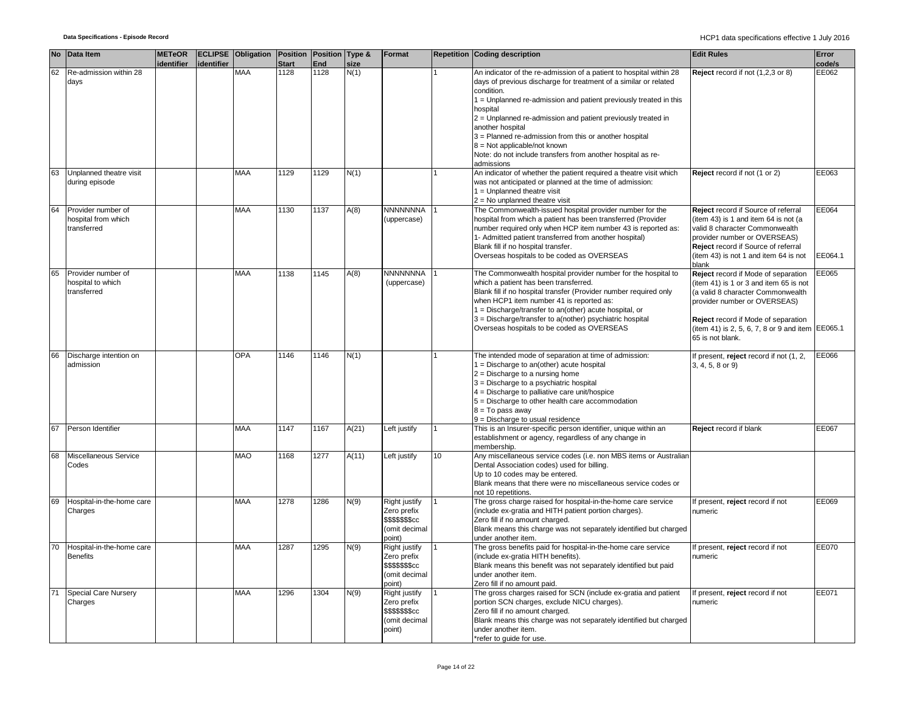|    | No Data Item                                             | <b>METeOR</b> |                       | <b>ECLIPSE Obligation Position Position Type &amp;</b> |              |      |       | Format                                                                             |    | Repetition Coding description                                                                                                                                                                                                                                                                                                                                                               | <b>Edit Rules</b>                                                                                                                                                                                                                                                 | Error            |
|----|----------------------------------------------------------|---------------|-----------------------|--------------------------------------------------------|--------------|------|-------|------------------------------------------------------------------------------------|----|---------------------------------------------------------------------------------------------------------------------------------------------------------------------------------------------------------------------------------------------------------------------------------------------------------------------------------------------------------------------------------------------|-------------------------------------------------------------------------------------------------------------------------------------------------------------------------------------------------------------------------------------------------------------------|------------------|
|    |                                                          |               | identifier identifier |                                                        | <b>Start</b> | End  | size  |                                                                                    |    |                                                                                                                                                                                                                                                                                                                                                                                             |                                                                                                                                                                                                                                                                   | code/s           |
| 62 | Re-admission within 28<br>days                           |               |                       | <b>MAA</b>                                             | 1128         | 1128 | N(1)  |                                                                                    |    | An indicator of the re-admission of a patient to hospital within 28<br>days of previous discharge for treatment of a similar or related<br>condition.<br>1 = Unplanned re-admission and patient previously treated in this                                                                                                                                                                  | Reject record if not (1,2,3 or 8)                                                                                                                                                                                                                                 | EE062            |
|    |                                                          |               |                       |                                                        |              |      |       |                                                                                    |    | hospital<br>2 = Unplanned re-admission and patient previously treated in<br>another hospital                                                                                                                                                                                                                                                                                                |                                                                                                                                                                                                                                                                   |                  |
|    |                                                          |               |                       |                                                        |              |      |       |                                                                                    |    | 3 = Planned re-admission from this or another hospital<br>$8 =$ Not applicable/not known<br>Note: do not include transfers from another hospital as re-<br>admissions                                                                                                                                                                                                                       |                                                                                                                                                                                                                                                                   |                  |
| 63 | Unplanned theatre visit<br>during episode                |               |                       | <b>MAA</b>                                             | 1129         | 1129 | N(1)  |                                                                                    |    | An indicator of whether the patient required a theatre visit which<br>was not anticipated or planned at the time of admission:<br>1 = Unplanned theatre visit<br>2 = No unplanned theatre visit                                                                                                                                                                                             | Reject record if not (1 or 2)                                                                                                                                                                                                                                     | EE063            |
| 64 | Provider number of<br>hospital from which<br>transferred |               |                       | <b>MAA</b>                                             | 1130         | 1137 | A(8)  | NNNNNNNA<br>(uppercase)                                                            |    | The Commonwealth-issued hospital provider number for the<br>hospital from which a patient has been transferred (Provider<br>number required only when HCP item number 43 is reported as:<br>1- Admitted patient transferred from another hospital)<br>Blank fill if no hospital transfer.<br>Overseas hospitals to be coded as OVERSEAS                                                     | Reject record if Source of referral<br>(item 43) is 1 and item 64 is not (a<br>valid 8 character Commonwealth<br>provider number or OVERSEAS)<br>Reject record if Source of referral<br>(item 43) is not 1 and item 64 is not<br>blank                            | EE064<br>EE064.1 |
| 65 | Provider number of<br>hospital to which<br>transferred   |               |                       | <b>MAA</b>                                             | 1138         | 1145 | A(8)  | <b>NNNNNNNA</b><br>(uppercase)                                                     |    | The Commonwealth hospital provider number for the hospital to<br>which a patient has been transferred.<br>Blank fill if no hospital transfer (Provider number required only<br>when HCP1 item number 41 is reported as:<br>1 = Discharge/transfer to an(other) acute hospital, or<br>3 = Discharge/transfer to a(nother) psychiatric hospital<br>Overseas hospitals to be coded as OVERSEAS | Reject record if Mode of separation<br>(item 41) is 1 or 3 and item 65 is not<br>(a valid 8 character Commonwealth<br>provider number or OVERSEAS)<br>Reject record if Mode of separation<br>(item 41) is 2, 5, 6, 7, 8 or 9 and item EE065.1<br>65 is not blank. | EE065            |
| 66 | Discharge intention on<br>admission                      |               |                       | OPA                                                    | 1146         | 1146 | N(1)  |                                                                                    |    | The intended mode of separation at time of admission:<br>1 = Discharge to an(other) acute hospital<br>$2 =$ Discharge to a nursing home<br>3 = Discharge to a psychiatric hospital<br>$4 =$ Discharge to palliative care unit/hospice<br>5 = Discharge to other health care accommodation<br>$8 = To pass away$<br>9 = Discharge to usual residence                                         | If present, reject record if not (1, 2,<br>3, 4, 5, 8 or 9)                                                                                                                                                                                                       | EE066            |
| 67 | Person Identifier                                        |               |                       | <b>MAA</b>                                             | 1147         | 1167 | A(21) | Left justify                                                                       |    | This is an Insurer-specific person identifier, unique within an<br>establishment or agency, regardless of any change in<br>membership.                                                                                                                                                                                                                                                      | Reject record if blank                                                                                                                                                                                                                                            | EE067            |
| 68 | Miscellaneous Service<br>Codes                           |               |                       | <b>MAO</b>                                             | 1168         | 1277 | A(11) | Left justify                                                                       | 10 | Any miscellaneous service codes (i.e. non MBS items or Australian<br>Dental Association codes) used for billing.<br>Up to 10 codes may be entered.<br>Blank means that there were no miscellaneous service codes or<br>not 10 repetitions.                                                                                                                                                  |                                                                                                                                                                                                                                                                   |                  |
| 69 | Hospital-in-the-home care<br>Charges                     |               |                       | MAA                                                    | 1278         | 1286 | N(9)  | Right justify<br>Zero prefix<br>\$\$\$\$\$\$\$cc<br>(omit decimal<br>point)        |    | The gross charge raised for hospital-in-the-home care service<br>(include ex-gratia and HITH patient portion charges).<br>Zero fill if no amount charged.<br>Blank means this charge was not separately identified but charged<br>under another item.                                                                                                                                       | If present, reject record if not<br>numeric                                                                                                                                                                                                                       | EE069            |
| 70 | Hospital-in-the-home care<br><b>Benefits</b>             |               |                       | <b>MAA</b>                                             | 1287         | 1295 | N(9)  | Right justify<br>Zero prefix<br>\$\$\$\$\$\$\$cc<br>(omit decimal<br>point)        |    | The gross benefits paid for hospital-in-the-home care service<br>(include ex-gratia HITH benefits).<br>Blank means this benefit was not separately identified but paid<br>under another item.<br>Zero fill if no amount paid.                                                                                                                                                               | If present, reject record if not<br>numeric                                                                                                                                                                                                                       | EE070            |
| 71 | <b>Special Care Nursery</b><br>Charges                   |               |                       | MAA                                                    | 1296         | 1304 | N(9)  | Right justify<br>Zero prefix<br><b>\$\$\$\$\$\$\$cc</b><br>(omit decimal<br>point) |    | The gross charges raised for SCN (include ex-gratia and patient<br>portion SCN charges, exclude NICU charges).<br>Zero fill if no amount charged.<br>Blank means this charge was not separately identified but charged<br>under another item.<br>*refer to quide for use.                                                                                                                   | If present, reject record if not<br>numeric                                                                                                                                                                                                                       | EE071            |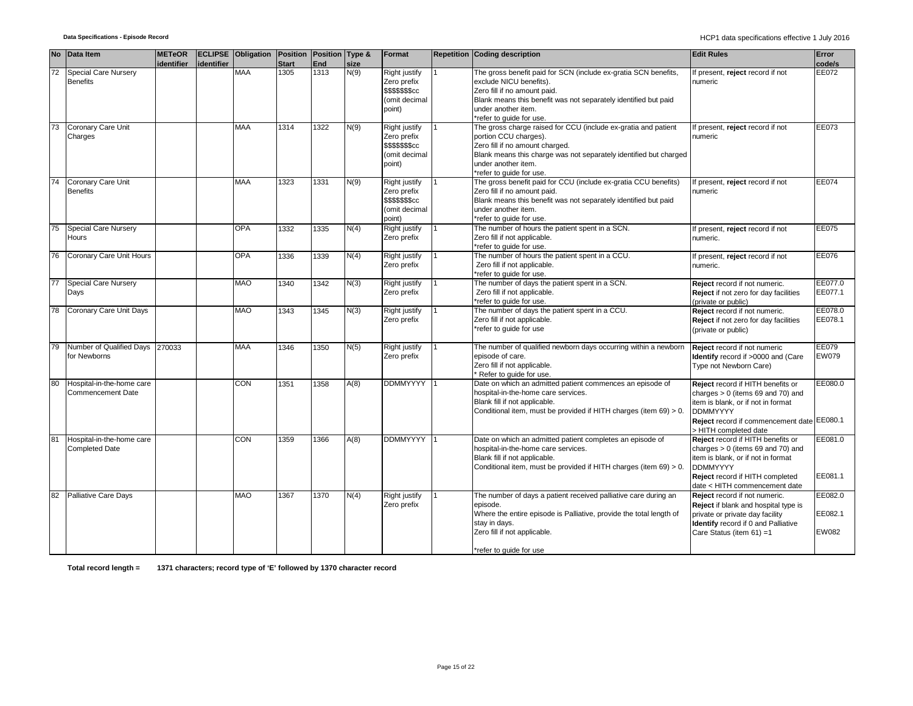|    | No Data Item                                          | <b>METeOR</b> |            | <b>ECLIPSE</b> Obligation | Position     | Position Type & |      | Format                                                                                  | <b>Repetition Coding description</b>                                                                                                                                                                                                               | <b>Edit Rules</b>                                                                                                                                                                                        | Error                              |
|----|-------------------------------------------------------|---------------|------------|---------------------------|--------------|-----------------|------|-----------------------------------------------------------------------------------------|----------------------------------------------------------------------------------------------------------------------------------------------------------------------------------------------------------------------------------------------------|----------------------------------------------------------------------------------------------------------------------------------------------------------------------------------------------------------|------------------------------------|
|    |                                                       | identifier    | identifier |                           | <b>Start</b> | End             | size |                                                                                         |                                                                                                                                                                                                                                                    |                                                                                                                                                                                                          | code/s                             |
| 72 | <b>Special Care Nursery</b><br><b>Benefits</b>        |               |            | <b>MAA</b>                | 1305         | 1313            | N(9) | Right justify<br>Zero prefix<br>\$\$\$\$\$\$ <sub>\$cc</sub><br>(omit decimal<br>point) | The gross benefit paid for SCN (include ex-gratia SCN benefits,<br>exclude NICU benefits).<br>Zero fill if no amount paid.<br>Blank means this benefit was not separately identified but paid<br>under another item.<br>*refer to guide for use.   | f present, reject record if not<br>numeric                                                                                                                                                               | EE072                              |
| 73 | Coronary Care Unit<br>Charges                         |               |            | <b>MAA</b>                | 1314         | 1322            | N(9) | Right justify<br>Zero prefix<br>\$\$\$\$\$\$ <sub>\$cc</sub><br>(omit decimal<br>point) | The gross charge raised for CCU (include ex-gratia and patient<br>portion CCU charges).<br>Zero fill if no amount charged.<br>Blank means this charge was not separately identified but charged<br>under another item.<br>*refer to quide for use. | f present, reject record if not<br>numeric                                                                                                                                                               | EE073                              |
| 74 | Coronary Care Unit<br><b>Benefits</b>                 |               |            | <b>MAA</b>                | 1323         | 1331            | N(9) | Right justify<br>Zero prefix<br>\$\$\$\$\$\$cc<br>(omit decimal<br>point)               | The gross benefit paid for CCU (include ex-gratia CCU benefits)<br>Zero fill if no amount paid.<br>Blank means this benefit was not separately identified but paid<br>under another item.<br>*refer to guide for use.                              | f present, reject record if not<br>numeric                                                                                                                                                               | EE074                              |
| 75 | <b>Special Care Nursery</b><br><b>Hours</b>           |               |            | <b>OPA</b>                | 1332         | 1335            | N(4) | Right justify<br>Zero prefix                                                            | The number of hours the patient spent in a SCN.<br>Zero fill if not applicable.<br>*refer to guide for use.                                                                                                                                        | If present, reject record if not<br>numeric.                                                                                                                                                             | EE075                              |
| 76 | Coronary Care Unit Hours                              |               |            | <b>OPA</b>                | 1336         | 1339            | N(4) | Right justify<br>Zero prefix                                                            | The number of hours the patient spent in a CCU.<br>Zero fill if not applicable.<br>*refer to guide for use.                                                                                                                                        | f present, reject record if not<br>numeric.                                                                                                                                                              | EE076                              |
| 77 | Special Care Nursery<br>Days                          |               |            | <b>MAO</b>                | 1340         | 1342            | N(3) | Right justify<br>Zero prefix                                                            | The number of days the patient spent in a SCN.<br>Zero fill if not applicable.<br>*refer to guide for use.                                                                                                                                         | Reject record if not numeric.<br>Reject if not zero for day facilities<br>(private or public)                                                                                                            | EE077.0<br>EE077.1                 |
| 78 | Coronary Care Unit Days                               |               |            | <b>MAO</b>                | 1343         | 1345            | N(3) | Right justify<br>Zero prefix                                                            | The number of days the patient spent in a CCU.<br>Zero fill if not applicable.<br>refer to guide for use                                                                                                                                           | Reject record if not numeric.<br>Reject if not zero for day facilities<br>(private or public)                                                                                                            | EE078.0<br>EE078.1                 |
|    | Number of Qualified Days<br>for Newborns              | 270033        |            | <b>MAA</b>                | 1346         | 1350            | N(5) | Right justify<br>Zero prefix                                                            | The number of qualified newborn days occurring within a newborn<br>episode of care.<br>Zero fill if not applicable.<br>Refer to guide for use.                                                                                                     | Reject record if not numeric<br>Identify record if >0000 and (Care<br>Type not Newborn Care)                                                                                                             | EE079<br>EW079                     |
| 80 | Hospital-in-the-home care<br><b>Commencement Date</b> |               |            | <b>CON</b>                | 1351         | 1358            | A(8) | <b>DDMMYYYY</b>                                                                         | Date on which an admitted patient commences an episode of<br>hospital-in-the-home care services.<br>Blank fill if not applicable.<br>Conditional item, must be provided if HITH charges (item 69) > 0.                                             | Reject record if HITH benefits or<br>charges $> 0$ (items 69 and 70) and<br>item is blank, or if not in format<br><b>DDMMYYYY</b><br>Reject record if commencement date EE080.1<br>> HITH completed date | EE080.0                            |
| 81 | Hospital-in-the-home care<br><b>Completed Date</b>    |               |            | <b>CON</b>                | 1359         | 1366            | A(8) | <b>DDMMYYYY</b>                                                                         | Date on which an admitted patient completes an episode of<br>hospital-in-the-home care services.<br>Blank fill if not applicable.<br>Conditional item, must be provided if HITH charges (item 69) > 0.                                             | Reject record if HITH benefits or<br>charges $> 0$ (items 69 and 70) and<br>item is blank, or if not in format<br><b>DDMMYYYY</b><br>Reject record if HITH completed<br>date < HITH commencement date    | EE081.0<br>EE081.1                 |
| 82 | Palliative Care Days                                  |               |            | <b>MAO</b>                | 1367         | 1370            | N(4) | Right justify<br>Zero prefix                                                            | The number of days a patient received palliative care during an<br>episode.<br>Where the entire episode is Palliative, provide the total length of<br>stay in days.<br>Zero fill if not applicable.                                                | Reject record if not numeric.<br>Reject if blank and hospital type is<br>private or private day facility<br>Identify record if 0 and Palliative<br>Care Status (item 61) =1                              | EE082.0<br>EE082.1<br><b>EW082</b> |
|    |                                                       |               |            |                           |              |                 |      |                                                                                         | *refer to guide for use                                                                                                                                                                                                                            |                                                                                                                                                                                                          |                                    |

**Total record length = 1371 characters; record type of 'E' followed by 1370 character record**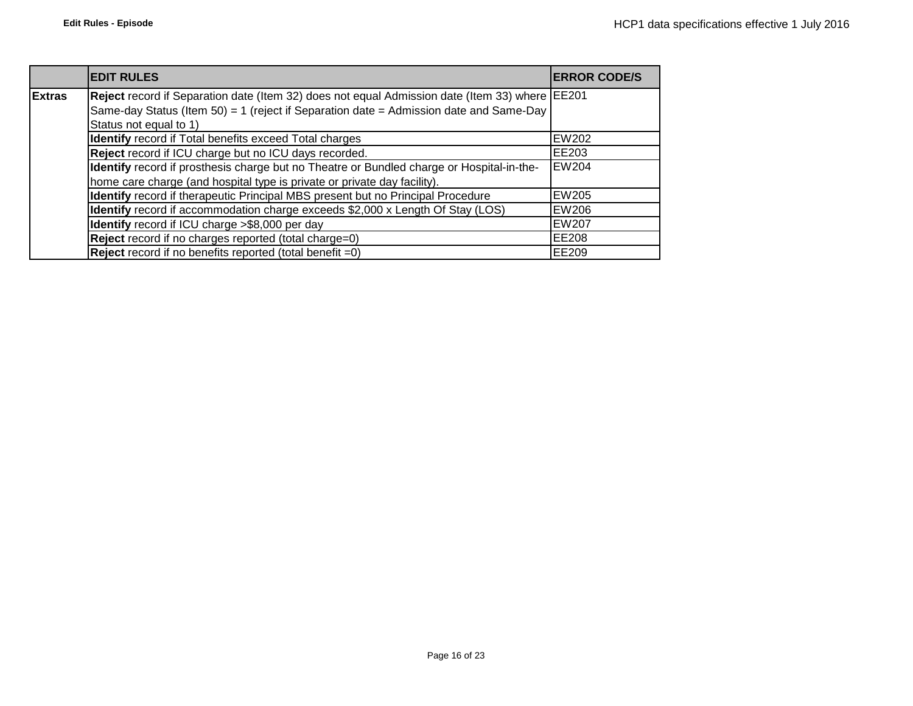|               | <b>EDIT RULES</b>                                                                              | <b>ERROR CODE/S</b> |
|---------------|------------------------------------------------------------------------------------------------|---------------------|
| <b>Extras</b> | Reject record if Separation date (Item 32) does not equal Admission date (Item 33) where EE201 |                     |
|               | Same-day Status (Item 50) = 1 (reject if Separation date = Admission date and Same-Day         |                     |
|               | Status not equal to 1)                                                                         |                     |
|               | <b>Identify</b> record if Total benefits exceed Total charges                                  | <b>EW202</b>        |
|               | Reject record if ICU charge but no ICU days recorded.                                          | EE203               |
|               | Identify record if prosthesis charge but no Theatre or Bundled charge or Hospital-in-the-      | <b>EW204</b>        |
|               | home care charge (and hospital type is private or private day facility).                       |                     |
|               | Identify record if therapeutic Principal MBS present but no Principal Procedure                | <b>EW205</b>        |
|               | Identify record if accommodation charge exceeds \$2,000 x Length Of Stay (LOS)                 | EW206               |
|               | Identify record if ICU charge >\$8,000 per day                                                 | <b>EW207</b>        |
|               | Reject record if no charges reported (total charge=0)                                          | <b>EE208</b>        |
|               | <b>Reject</b> record if no benefits reported (total benefit $=0$ )                             | EE209               |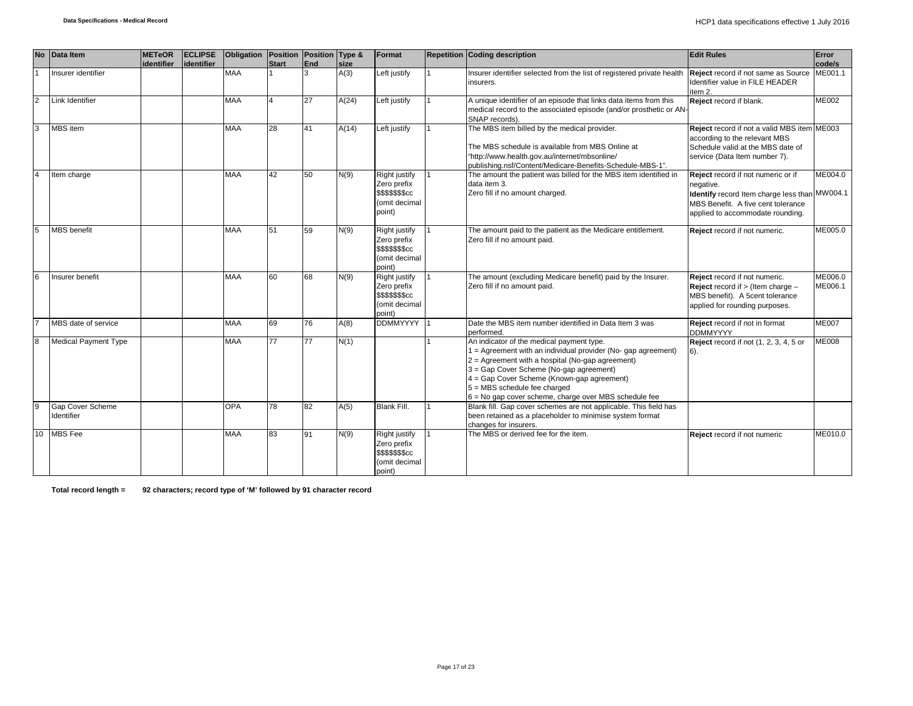| <b>No</b>      | Data Item                      | <b>METeOR</b> | <b>ECLIPSE</b> | Obligation Position Position Type & |       |     |       | Format                                                                                    | <b>Repetition Coding description</b>                                                                                                                                                                                                                                                                                                                   | <b>Edit Rules</b>                                                                                                                                                          | Error              |
|----------------|--------------------------------|---------------|----------------|-------------------------------------|-------|-----|-------|-------------------------------------------------------------------------------------------|--------------------------------------------------------------------------------------------------------------------------------------------------------------------------------------------------------------------------------------------------------------------------------------------------------------------------------------------------------|----------------------------------------------------------------------------------------------------------------------------------------------------------------------------|--------------------|
|                |                                | identifier    | identifier     |                                     | Start | End | size  |                                                                                           |                                                                                                                                                                                                                                                                                                                                                        |                                                                                                                                                                            | code/s             |
|                | Insurer identifier             |               |                | <b>MAA</b>                          |       | 3   | A(3)  | Left justify                                                                              | Insurer identifier selected from the list of registered private health<br>insurers.                                                                                                                                                                                                                                                                    | Reject record if not same as Source<br>Identifier value in FILE HEADER<br>item 2.                                                                                          | ME001.1            |
| $\overline{2}$ | Link Identifier                |               |                | <b>MAA</b>                          |       | 27  | A(24) | Left justify                                                                              | A unique identifier of an episode that links data items from this<br>medical record to the associated episode (and/or prosthetic or AN-<br>SNAP records).                                                                                                                                                                                              | Reject record if blank.                                                                                                                                                    | <b>ME002</b>       |
| 3              | MBS item                       |               |                | <b>MAA</b>                          | 28    | 41  | A(14) | Left justify                                                                              | The MBS item billed by the medical provider.<br>The MBS schedule is available from MBS Online at<br>"http://www.health.gov.au/internet/mbsonline/<br>publishing.nsf/Content/Medicare-Benefits-Schedule-MBS-1".                                                                                                                                         | Reject record if not a valid MBS item ME003<br>according to the relevant MBS<br>Schedule valid at the MBS date of<br>service (Data Item number 7).                         |                    |
|                | Item charge                    |               |                | <b>MAA</b>                          | 42    | 50  | N(9)  | Right justify<br>Zero prefix<br>\$\$\$\$\$\$\$cc<br>(omit decimal<br>point)               | The amount the patient was billed for the MBS item identified in<br>data item 3.<br>Zero fill if no amount charged.                                                                                                                                                                                                                                    | Reject record if not numeric or if<br>negative.<br>Identify record Item charge less than MW004.1<br>MBS Benefit. A five cent tolerance<br>applied to accommodate rounding. | ME004.0            |
| 5              | <b>MBS</b> benefit             |               |                | <b>MAA</b>                          | 51    | 59  | N(9)  | Right justify<br>Zero prefix<br>\$\$\$\$\$\$\$cc<br>(omit decimal<br>point)               | The amount paid to the patient as the Medicare entitlement.<br>Zero fill if no amount paid.                                                                                                                                                                                                                                                            | Reject record if not numeric.                                                                                                                                              | ME005.0            |
| 6              | Insurer benefit                |               |                | <b>MAA</b>                          | 60    | 68  | N(9)  | <b>Right justify</b><br>Zero prefix<br><b>\$\$\$\$\$\$\$cc</b><br>(omit decimal<br>point) | The amount (excluding Medicare benefit) paid by the Insurer.<br>Zero fill if no amount paid.                                                                                                                                                                                                                                                           | Reject record if not numeric.<br><b>Reject</b> record if $>$ (Item charge $-$<br>MBS benefit). A 5cent tolerance<br>applied for rounding purposes.                         | ME006.0<br>ME006.1 |
|                | MBS date of service            |               |                | <b>MAA</b>                          | 69    | 76  | A(8)  | DDMMYYYY 1                                                                                | Date the MBS item number identified in Data Item 3 was<br>performed.                                                                                                                                                                                                                                                                                   | Reject record if not in format<br><b>DDMMYYYY</b>                                                                                                                          | <b>ME007</b>       |
| 8              | <b>Medical Payment Type</b>    |               |                | <b>MAA</b>                          | 77    | 77  | N(1)  |                                                                                           | An indicator of the medical payment type.<br>1 = Agreement with an individual provider (No- gap agreement)<br>$2$ = Agreement with a hospital (No-gap agreement)<br>3 = Gap Cover Scheme (No-gap agreement)<br>4 = Gap Cover Scheme (Known-gap agreement)<br>$5 = MBS$ schedule fee charged<br>$6$ = No gap cover scheme, charge over MBS schedule fee | <b>Reject</b> record if not (1, 2, 3, 4, 5 or<br>$6$ ).                                                                                                                    | ME008              |
| 9              | Gap Cover Scheme<br>Identifier |               |                | OPA                                 | 78    | 82  | A(5)  | Blank Fill.                                                                               | Blank fill. Gap cover schemes are not applicable. This field has<br>been retained as a placeholder to minimise system format<br>changes for insurers.                                                                                                                                                                                                  |                                                                                                                                                                            |                    |
|                | 10 MBS Fee                     |               |                | <b>MAA</b>                          | 83    | 91  | N(9)  | Right justify<br>Zero prefix<br>\$\$\$\$\$\$\$cc<br>(omit decimal<br>point)               | The MBS or derived fee for the item.                                                                                                                                                                                                                                                                                                                   | Reject record if not numeric                                                                                                                                               | ME010.0            |

**Total record length = 92 characters; record type of 'M' followed by 91 character record**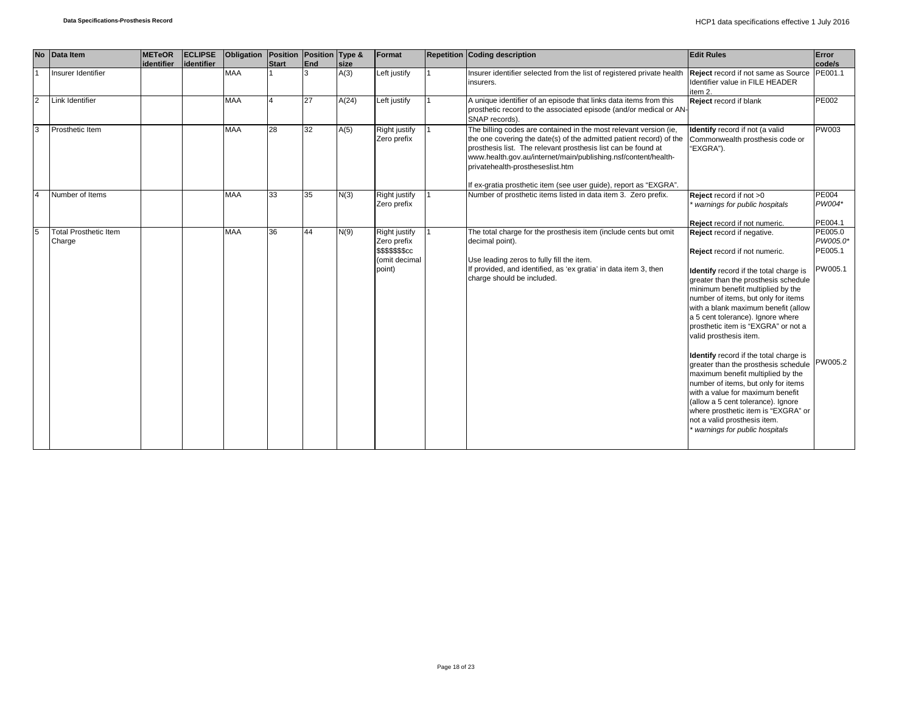|                | No Data Item                           | <b>METeOR</b> | <b>ECLIPSE</b> | Obligation   Position   Position   Type & |              |     |       | Format                                                                             | <b>Repetition Coding description</b>                                                                                                                                                                                                                                                                            | <b>Edit Rules</b>                                                                                                                                                                                                                                                                                                                                                                                                                                                                                                                                                                                                                                                                                                                     | Error                                     |
|----------------|----------------------------------------|---------------|----------------|-------------------------------------------|--------------|-----|-------|------------------------------------------------------------------------------------|-----------------------------------------------------------------------------------------------------------------------------------------------------------------------------------------------------------------------------------------------------------------------------------------------------------------|---------------------------------------------------------------------------------------------------------------------------------------------------------------------------------------------------------------------------------------------------------------------------------------------------------------------------------------------------------------------------------------------------------------------------------------------------------------------------------------------------------------------------------------------------------------------------------------------------------------------------------------------------------------------------------------------------------------------------------------|-------------------------------------------|
|                |                                        | identifier    | lidentifier    |                                           | <b>Start</b> | End | size  |                                                                                    |                                                                                                                                                                                                                                                                                                                 |                                                                                                                                                                                                                                                                                                                                                                                                                                                                                                                                                                                                                                                                                                                                       | code/s                                    |
|                | Insurer Identifier                     |               |                | <b>MAA</b>                                |              | 3   | A(3)  | Left justify                                                                       | Insurer identifier selected from the list of registered private health<br>insurers.                                                                                                                                                                                                                             | Reject record if not same as Source PE001.1<br>Identifier value in FILE HEADER<br>item 2.                                                                                                                                                                                                                                                                                                                                                                                                                                                                                                                                                                                                                                             |                                           |
| $\overline{2}$ | Link Identifier                        |               |                | <b>MAA</b>                                |              | 27  | A(24) | Left justify                                                                       | A unique identifier of an episode that links data items from this<br>prosthetic record to the associated episode (and/or medical or AN-<br>SNAP records).                                                                                                                                                       | Reject record if blank                                                                                                                                                                                                                                                                                                                                                                                                                                                                                                                                                                                                                                                                                                                | <b>PE002</b>                              |
| 3              | Prosthetic Item                        |               |                | <b>MAA</b>                                | 28           | 32  | A(5)  | Right justify<br>Zero prefix                                                       | The billing codes are contained in the most relevant version (ie,<br>the one covering the date(s) of the admitted patient record) of the<br>prosthesis list. The relevant prosthesis list can be found at<br>www.health.gov.au/internet/main/publishing.nsf/content/health-<br>privatehealth-prostheseslist.htm | Identify record if not (a valid<br>Commonwealth prosthesis code or<br>"EXGRA").                                                                                                                                                                                                                                                                                                                                                                                                                                                                                                                                                                                                                                                       | <b>PW003</b>                              |
|                |                                        |               |                |                                           |              |     |       |                                                                                    | If ex-gratia prosthetic item (see user guide), report as "EXGRA".                                                                                                                                                                                                                                               |                                                                                                                                                                                                                                                                                                                                                                                                                                                                                                                                                                                                                                                                                                                                       |                                           |
|                | Number of Items                        |               |                | <b>MAA</b>                                | 33           | 35  | N(3)  | Right justify<br>Zero prefix                                                       | Number of prosthetic items listed in data item 3. Zero prefix.                                                                                                                                                                                                                                                  | Reject record if not >0<br>warnings for public hospitals                                                                                                                                                                                                                                                                                                                                                                                                                                                                                                                                                                                                                                                                              | <b>PE004</b><br>PW004*                    |
|                |                                        |               |                |                                           |              |     |       |                                                                                    |                                                                                                                                                                                                                                                                                                                 | Reject record if not numeric.                                                                                                                                                                                                                                                                                                                                                                                                                                                                                                                                                                                                                                                                                                         | PE004.1                                   |
| 5              | <b>Total Prosthetic Item</b><br>Charge |               |                | <b>MAA</b>                                | 36           | 44  | N(9)  | Right justify<br>Zero prefix<br><b>\$\$\$\$\$\$\$cc</b><br>(omit decimal<br>point) | The total charge for the prosthesis item (include cents but omit<br>decimal point).<br>Use leading zeros to fully fill the item.<br>If provided, and identified, as 'ex gratia' in data item 3, then<br>charge should be included.                                                                              | Reject record if negative.<br>Reject record if not numeric.<br>Identify record if the total charge is<br>greater than the prosthesis schedule<br>minimum benefit multiplied by the<br>number of items, but only for items<br>with a blank maximum benefit (allow<br>a 5 cent tolerance). Ignore where<br>prosthetic item is "EXGRA" or not a<br>valid prosthesis item.<br><b>Identify</b> record if the total charge is<br>greater than the prosthesis schedule PW005.2<br>maximum benefit multiplied by the<br>number of items, but only for items<br>with a value for maximum benefit<br>(allow a 5 cent tolerance). Ignore<br>where prosthetic item is "EXGRA" or<br>not a valid prosthesis item.<br>warnings for public hospitals | PE005.0<br>PW005.0*<br>PE005.1<br>PW005.1 |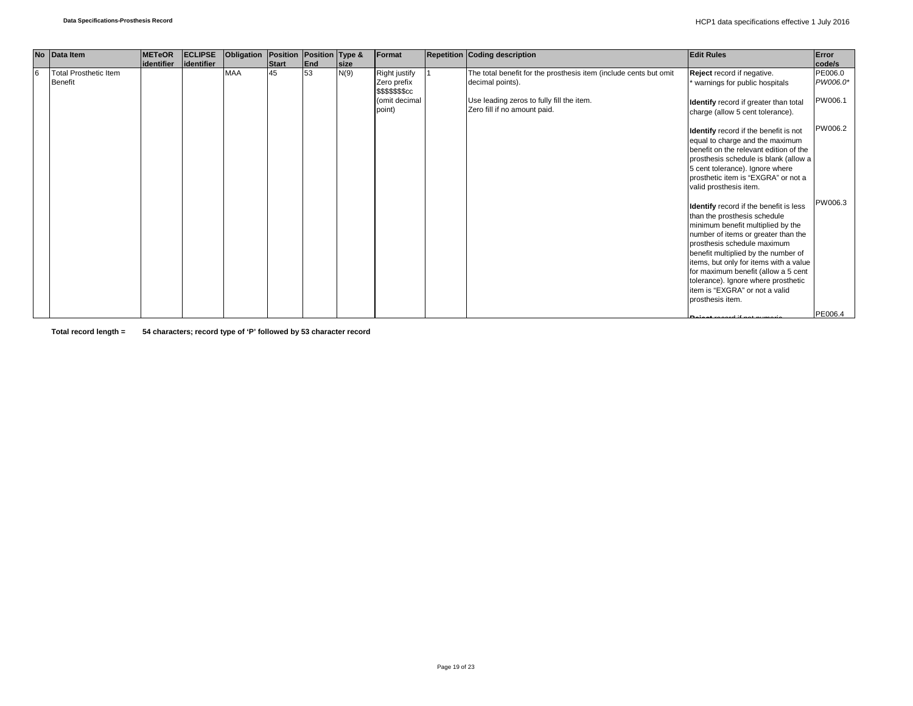|    | No Data Item                                   | <b>METeOR</b> | <b>ECLIPSE</b> | Obligation Position Position Type & |       |     |             | Format                                                                             | <b>Repetition Coding description</b>                                                                                                                               | <b>Edit Rules</b>                                                                                                                                                                                                                                                                                                                                                                                      | Error                          |
|----|------------------------------------------------|---------------|----------------|-------------------------------------|-------|-----|-------------|------------------------------------------------------------------------------------|--------------------------------------------------------------------------------------------------------------------------------------------------------------------|--------------------------------------------------------------------------------------------------------------------------------------------------------------------------------------------------------------------------------------------------------------------------------------------------------------------------------------------------------------------------------------------------------|--------------------------------|
|    |                                                | lidentifier   | identifier     |                                     | Start | End | <b>Size</b> |                                                                                    |                                                                                                                                                                    |                                                                                                                                                                                                                                                                                                                                                                                                        | code/s                         |
| 16 | <b>Total Prosthetic Item</b><br><b>Benefit</b> |               |                | <b>MAA</b>                          | 45    | 53  | N(9)        | Right justify<br>Zero prefix<br><b>\$\$\$\$\$\$\$cc</b><br>(omit decimal<br>point) | The total benefit for the prosthesis item (include cents but omit<br>decimal points).<br>Use leading zeros to fully fill the item.<br>Zero fill if no amount paid. | Reject record if negative.<br>warnings for public hospitals<br>Identify record if greater than total<br>charge (allow 5 cent tolerance).                                                                                                                                                                                                                                                               | PE006.0<br>PW006.0*<br>PW006.1 |
|    |                                                |               |                |                                     |       |     |             |                                                                                    |                                                                                                                                                                    | Identify record if the benefit is not<br>equal to charge and the maximum<br>benefit on the relevant edition of the<br>prosthesis schedule is blank (allow a<br>5 cent tolerance). Ignore where<br>prosthetic item is "EXGRA" or not a<br>valid prosthesis item.                                                                                                                                        | PW006.2                        |
|    |                                                |               |                |                                     |       |     |             |                                                                                    |                                                                                                                                                                    | Identify record if the benefit is less<br>than the prosthesis schedule<br>minimum benefit multiplied by the<br>number of items or greater than the<br>prosthesis schedule maximum<br>benefit multiplied by the number of<br>items, but only for items with a value<br>for maximum benefit (allow a 5 cent<br>tolerance). Ignore where prosthetic<br>item is "EXGRA" or not a valid<br>prosthesis item. | PW006.3                        |
|    |                                                |               |                |                                     |       |     |             |                                                                                    |                                                                                                                                                                    |                                                                                                                                                                                                                                                                                                                                                                                                        | PE006.4                        |

**Total record length = 54 characters; record type of 'P' followed by 53 character record**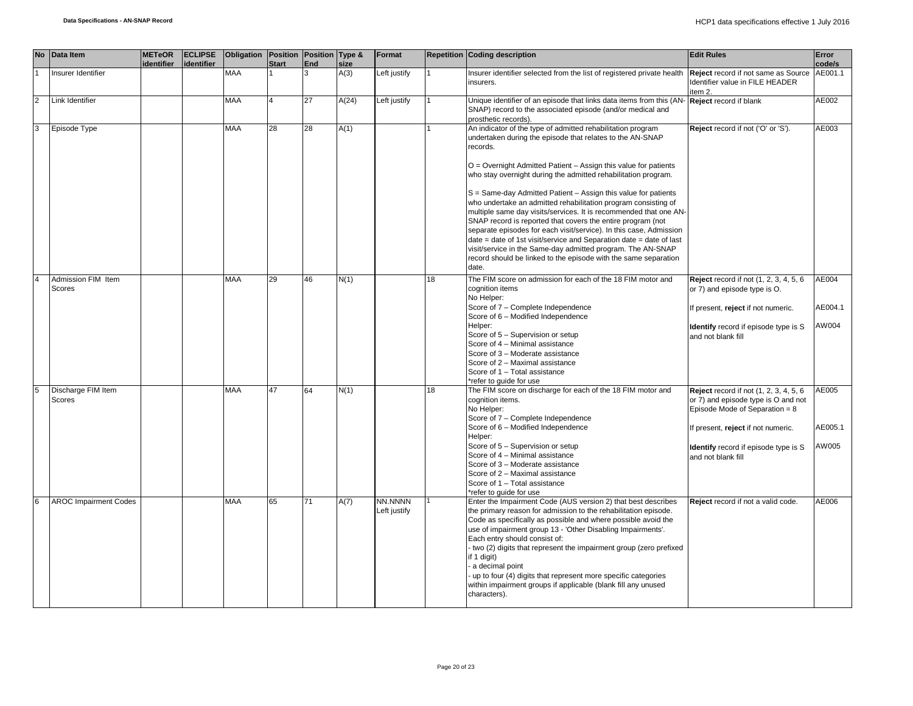|                | No Data Item                        | <b>METeOR</b><br>identifier | <b>ECLIPSE</b><br><b>identifier</b> | Obligation   Position   Position   Type & | <b>Start</b>   | End | size  | Format                  |    | <b>Repetition Coding description</b>                                                                                                                                                                                                                                                                                                                                                                                                                                                                                                                                                                                                                                                                                                                                                                                                      | <b>Edit Rules</b>                                                                                                                                                                                                      | Error<br>code/s           |
|----------------|-------------------------------------|-----------------------------|-------------------------------------|-------------------------------------------|----------------|-----|-------|-------------------------|----|-------------------------------------------------------------------------------------------------------------------------------------------------------------------------------------------------------------------------------------------------------------------------------------------------------------------------------------------------------------------------------------------------------------------------------------------------------------------------------------------------------------------------------------------------------------------------------------------------------------------------------------------------------------------------------------------------------------------------------------------------------------------------------------------------------------------------------------------|------------------------------------------------------------------------------------------------------------------------------------------------------------------------------------------------------------------------|---------------------------|
|                | Insurer Identifier                  |                             |                                     | MAA                                       |                | 3   | A(3)  | Left justify            |    | Insurer identifier selected from the list of registered private health<br>insurers.                                                                                                                                                                                                                                                                                                                                                                                                                                                                                                                                                                                                                                                                                                                                                       | Reject record if not same as Source<br>Identifier value in FILE HEADER<br>item 2.                                                                                                                                      | AE001.1                   |
| $\overline{2}$ | Link Identifier                     |                             |                                     | MAA                                       | $\overline{4}$ | 27  | A(24) | Left justify            |    | Unique identifier of an episode that links data items from this (AN-<br>SNAP) record to the associated episode (and/or medical and<br>prosthetic records).                                                                                                                                                                                                                                                                                                                                                                                                                                                                                                                                                                                                                                                                                | Reject record if blank                                                                                                                                                                                                 | AE002                     |
| 3              | Episode Type                        |                             |                                     | MAA                                       | 28             | 28  | A(1)  |                         |    | An indicator of the type of admitted rehabilitation program<br>undertaken during the episode that relates to the AN-SNAP<br>records.<br>O = Overnight Admitted Patient - Assign this value for patients<br>who stay overnight during the admitted rehabilitation program.<br>S = Same-day Admitted Patient - Assign this value for patients<br>who undertake an admitted rehabilitation program consisting of<br>multiple same day visits/services. It is recommended that one AN-<br>SNAP record is reported that covers the entire program (not<br>separate episodes for each visit/service). In this case, Admission<br>date = date of 1st visit/service and Separation date = date of last<br>visit/service in the Same-day admitted program. The AN-SNAP<br>record should be linked to the episode with the same separation<br>date. | Reject record if not ('O' or 'S').                                                                                                                                                                                     | AE003                     |
| $\overline{4}$ | Admission FIM Item<br><b>Scores</b> |                             |                                     | MAA                                       | 29             | 46  | N(1)  |                         | 18 | The FIM score on admission for each of the 18 FIM motor and<br>cognition items<br>No Helper:<br>Score of 7 - Complete Independence<br>Score of 6 - Modified Independence<br>Helper:<br>Score of 5 - Supervision or setup<br>Score of 4 - Minimal assistance<br>Score of 3 - Moderate assistance<br>Score of 2 - Maximal assistance<br>Score of 1 - Total assistance<br>*refer to quide for use                                                                                                                                                                                                                                                                                                                                                                                                                                            | Reject record if not (1, 2, 3, 4, 5, 6)<br>or 7) and episode type is O.<br>If present, reject if not numeric.<br><b>Identify</b> record if episode type is S<br>and not blank fill                                     | AE004<br>AE004.1<br>AW004 |
| 5              | Discharge FIM Item<br><b>Scores</b> |                             |                                     | MAA                                       | 47             | 64  | N(1)  |                         | 18 | The FIM score on discharge for each of the 18 FIM motor and<br>cognition items.<br>No Helper:<br>Score of 7 - Complete Independence<br>Score of 6 - Modified Independence<br>Helper:<br>Score of 5 - Supervision or setup<br>Score of 4 - Minimal assistance<br>Score of 3 - Moderate assistance<br>Score of 2 - Maximal assistance<br>Score of 1 - Total assistance<br>*refer to quide for use                                                                                                                                                                                                                                                                                                                                                                                                                                           | Reject record if not (1, 2, 3, 4, 5, 6)<br>or 7) and episode type is O and not<br>Episode Mode of Separation = $8$<br>If present, reject if not numeric.<br>Identify record if episode type is S<br>and not blank fill | AE005<br>AE005.1<br>AW005 |
| 6              | <b>AROC Impairment Codes</b>        |                             |                                     | <b>MAA</b>                                | 65             | 71  | A(7)  | NN.NNNN<br>Left justify |    | Enter the Impairment Code (AUS version 2) that best describes<br>the primary reason for admission to the rehabilitation episode.<br>Code as specifically as possible and where possible avoid the<br>use of impairment group 13 - 'Other Disabling Impairments'.<br>Each entry should consist of:<br>- two (2) digits that represent the impairment group (zero prefixed<br>if 1 digit)<br>a decimal point<br>up to four (4) digits that represent more specific categories<br>within impairment groups if applicable (blank fill any unused<br>characters).                                                                                                                                                                                                                                                                              | Reject record if not a valid code.                                                                                                                                                                                     | AE006                     |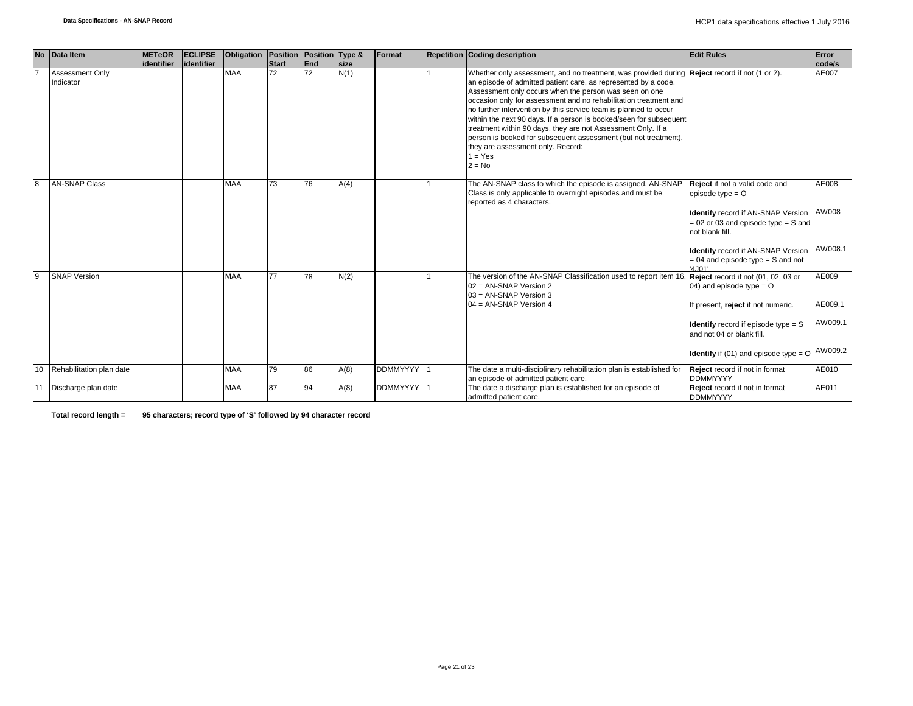|              | No Data Item                 | <b>METeOR</b> | <b>ECLIPSE</b> | Obligation Position Position Type & |              |     |             | Format     | <b>Repetition Coding description</b>                                                                                                                                                                                                                                                                                                                                                                                                                                                                                                                                                                                                            | <b>Edit Rules</b>                                                                                                                                                                                                                                                  | Error                                  |
|--------------|------------------------------|---------------|----------------|-------------------------------------|--------------|-----|-------------|------------|-------------------------------------------------------------------------------------------------------------------------------------------------------------------------------------------------------------------------------------------------------------------------------------------------------------------------------------------------------------------------------------------------------------------------------------------------------------------------------------------------------------------------------------------------------------------------------------------------------------------------------------------------|--------------------------------------------------------------------------------------------------------------------------------------------------------------------------------------------------------------------------------------------------------------------|----------------------------------------|
|              |                              | identifier    | lidentifier    |                                     | <b>Start</b> | End | <b>size</b> |            |                                                                                                                                                                                                                                                                                                                                                                                                                                                                                                                                                                                                                                                 |                                                                                                                                                                                                                                                                    | code/s                                 |
|              | Assessment Only<br>Indicator |               |                | <b>MAA</b>                          | 72           | 72  | N(1)        |            | Whether only assessment, and no treatment, was provided during <b>Reject</b> record if not (1 or 2).<br>an episode of admitted patient care, as represented by a code.<br>Assessment only occurs when the person was seen on one<br>occasion only for assessment and no rehabilitation treatment and<br>no further intervention by this service team is planned to occur<br>within the next 90 days. If a person is booked/seen for subsequent<br>treatment within 90 days, they are not Assessment Only. If a<br>person is booked for subsequent assessment (but not treatment),<br>they are assessment only. Record:<br>$1 = Yes$<br>$2 = No$ |                                                                                                                                                                                                                                                                    | AE007                                  |
| $\mathsf{R}$ | <b>AN-SNAP Class</b>         |               |                | <b>MAA</b>                          | 73           | 76  | A(4)        |            | The AN-SNAP class to which the episode is assigned. AN-SNAP<br>Class is only applicable to overnight episodes and must be<br>reported as 4 characters.                                                                                                                                                                                                                                                                                                                                                                                                                                                                                          | Reject if not a valid code and<br>episode type $=$ $O$<br><b>Identify</b> record if AN-SNAP Version<br>$= 02$ or 03 and episode type $= S$ and<br>not blank fill.<br><b>Identify</b> record if AN-SNAP Version<br>$= 04$ and episode type $= S$ and not<br>'4.101' | AE008<br>AW008<br>AW008.1              |
| 9            | <b>SNAP Version</b>          |               |                | <b>MAA</b>                          | 77           | 78  | N(2)        |            | The version of the AN-SNAP Classification used to report item 16<br>$02 = AN-SNAP Version 2$<br>03 = AN-SNAP Version 3<br>04 = AN-SNAP Version 4                                                                                                                                                                                                                                                                                                                                                                                                                                                                                                | Reject record if not (01, 02, 03 or<br>04) and episode type = $O$<br>If present, reject if not numeric.<br><b>Identify</b> record if episode type $=$ S<br>and not 04 or blank fill.<br><b>Identify</b> if (01) and episode type = $O$                             | AE009<br>AE009.1<br>AW009.1<br>AW009.2 |
| 10           | Rehabilitation plan date     |               |                | <b>MAA</b>                          | 79           | 86  | A(8)        | DDMMYYYY 1 | The date a multi-disciplinary rehabilitation plan is established for<br>an episode of admitted patient care.                                                                                                                                                                                                                                                                                                                                                                                                                                                                                                                                    | Reject record if not in format<br><b>DDMMYYYY</b>                                                                                                                                                                                                                  | AE010                                  |
|              | 11 Discharge plan date       |               |                | <b>MAA</b>                          | 87           | 94  | A(8)        | DDMMYYYY 1 | The date a discharge plan is established for an episode of<br>admitted patient care.                                                                                                                                                                                                                                                                                                                                                                                                                                                                                                                                                            | Reject record if not in format<br><b>DDMMYYYY</b>                                                                                                                                                                                                                  | AE011                                  |

**Total record length = 95 characters; record type of 'S' followed by 94 character record**